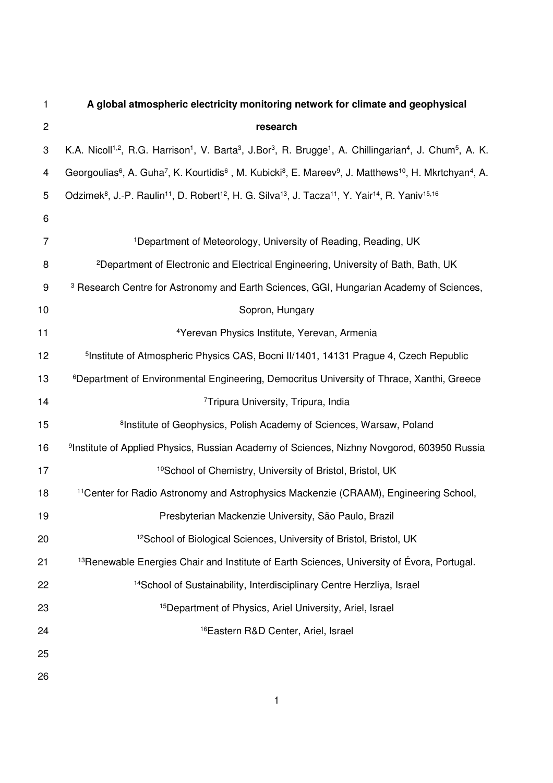| 1                | A global atmospheric electricity monitoring network for climate and geophysical                                                                                                              |
|------------------|----------------------------------------------------------------------------------------------------------------------------------------------------------------------------------------------|
| $\overline{c}$   | research                                                                                                                                                                                     |
| 3                | K.A. Nicoll <sup>1,2</sup> , R.G. Harrison <sup>1</sup> , V. Barta <sup>3</sup> , J.Bor <sup>3</sup> , R. Brugge <sup>1</sup> , A. Chillingarian <sup>4</sup> , J. Chum <sup>5</sup> , A. K. |
| 4                | Georgoulias <sup>6</sup> , A. Guha <sup>7</sup> , K. Kourtidis <sup>6</sup> , M. Kubicki <sup>8</sup> , E. Mareev <sup>9</sup> , J. Matthews <sup>10</sup> , H. Mkrtchyan <sup>4</sup> , A.  |
| 5                | Odzimek <sup>8</sup> , J.-P. Raulin <sup>11</sup> , D. Robert <sup>12</sup> , H. G. Silva <sup>13</sup> , J. Tacza <sup>11</sup> , Y. Yair <sup>14</sup> , R. Yaniv <sup>15,16</sup>         |
| 6                |                                                                                                                                                                                              |
| $\overline{7}$   | <sup>1</sup> Department of Meteorology, University of Reading, Reading, UK                                                                                                                   |
| 8                | <sup>2</sup> Department of Electronic and Electrical Engineering, University of Bath, Bath, UK                                                                                               |
| $\boldsymbol{9}$ | <sup>3</sup> Research Centre for Astronomy and Earth Sciences, GGI, Hungarian Academy of Sciences,                                                                                           |
| 10               | Sopron, Hungary                                                                                                                                                                              |
| 11               | <sup>4</sup> Yerevan Physics Institute, Yerevan, Armenia                                                                                                                                     |
| 12               | <sup>5</sup> Institute of Atmospheric Physics CAS, Bocni II/1401, 14131 Prague 4, Czech Republic                                                                                             |
| 13               | <sup>6</sup> Department of Environmental Engineering, Democritus University of Thrace, Xanthi, Greece                                                                                        |
| 14               | <sup>7</sup> Tripura University, Tripura, India                                                                                                                                              |
| 15               | <sup>8</sup> Institute of Geophysics, Polish Academy of Sciences, Warsaw, Poland                                                                                                             |
| 16               | <sup>9</sup> Institute of Applied Physics, Russian Academy of Sciences, Nizhny Novgorod, 603950 Russia                                                                                       |
| 17               | <sup>10</sup> School of Chemistry, University of Bristol, Bristol, UK                                                                                                                        |
| 18               | <sup>11</sup> Center for Radio Astronomy and Astrophysics Mackenzie (CRAAM), Engineering School,                                                                                             |
| 19               | Presbyterian Mackenzie University, São Paulo, Brazil                                                                                                                                         |
| 20               | <sup>12</sup> School of Biological Sciences, University of Bristol, Bristol, UK                                                                                                              |
| 21               | <sup>13</sup> Renewable Energies Chair and Institute of Earth Sciences, University of Évora, Portugal.                                                                                       |
| 22               | <sup>14</sup> School of Sustainability, Interdisciplinary Centre Herzliya, Israel                                                                                                            |
| 23               | <sup>15</sup> Department of Physics, Ariel University, Ariel, Israel                                                                                                                         |
| 24               | <sup>16</sup> Eastern R&D Center, Ariel, Israel                                                                                                                                              |
| 25               |                                                                                                                                                                                              |
| 26               |                                                                                                                                                                                              |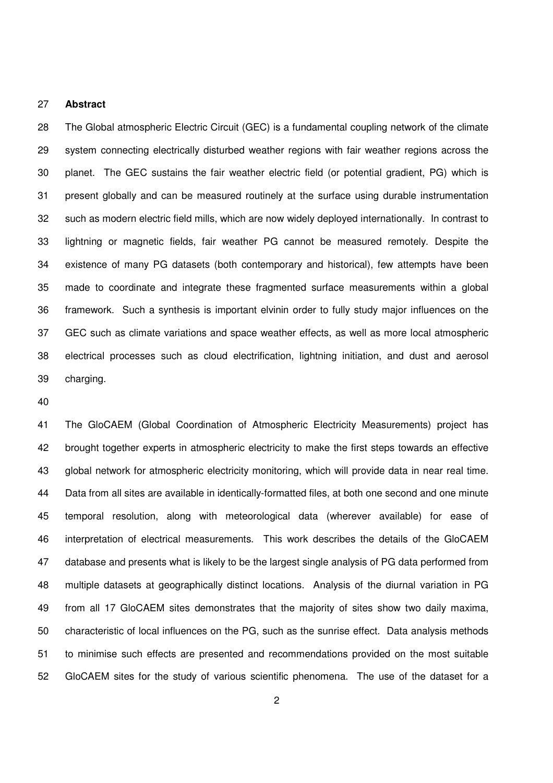### 27 **Abstract**

28 The Global atmospheric Electric Circuit (GEC) is a fundamental coupling network of the climate 29 system connecting electrically disturbed weather regions with fair weather regions across the 30 planet. The GEC sustains the fair weather electric field (or potential gradient, PG) which is 31 present globally and can be measured routinely at the surface using durable instrumentation 32 such as modern electric field mills, which are now widely deployed internationally. In contrast to 33 lightning or magnetic fields, fair weather PG cannot be measured remotely. Despite the 34 existence of many PG datasets (both contemporary and historical), few attempts have been 35 made to coordinate and integrate these fragmented surface measurements within a global 36 framework. Such a synthesis is important elvinin order to fully study major influences on the 37 GEC such as climate variations and space weather effects, as well as more local atmospheric 38 electrical processes such as cloud electrification, lightning initiation, and dust and aerosol 39 charging.

40

41 The GloCAEM (Global Coordination of Atmospheric Electricity Measurements) project has 42 brought together experts in atmospheric electricity to make the first steps towards an effective 43 global network for atmospheric electricity monitoring, which will provide data in near real time. 44 Data from all sites are available in identically-formatted files, at both one second and one minute 45 temporal resolution, along with meteorological data (wherever available) for ease of 46 interpretation of electrical measurements. This work describes the details of the GloCAEM 47 database and presents what is likely to be the largest single analysis of PG data performed from 48 multiple datasets at geographically distinct locations. Analysis of the diurnal variation in PG 49 from all 17 GloCAEM sites demonstrates that the majority of sites show two daily maxima, 50 characteristic of local influences on the PG, such as the sunrise effect. Data analysis methods 51 to minimise such effects are presented and recommendations provided on the most suitable 52 GloCAEM sites for the study of various scientific phenomena. The use of the dataset for a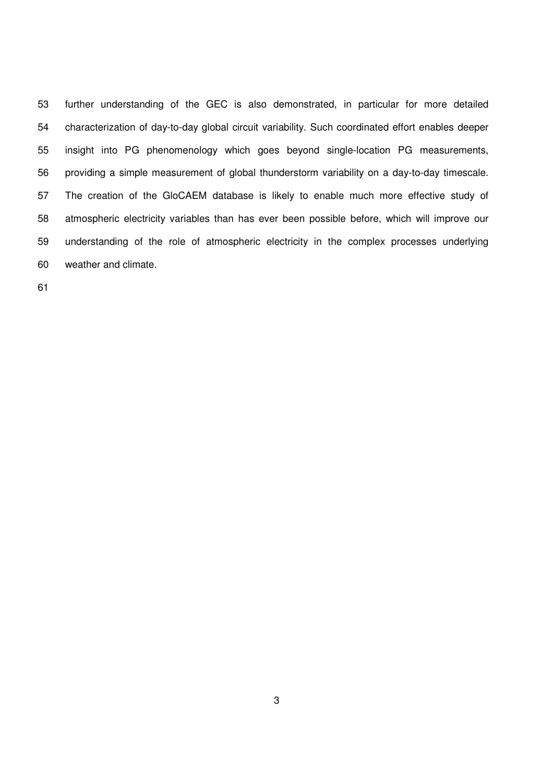53 further understanding of the GEC is also demonstrated, in particular for more detailed 54 characterization of day-to-day global circuit variability. Such coordinated effort enables deeper 55 insight into PG phenomenology which goes beyond single-location PG measurements, 56 providing a simple measurement of global thunderstorm variability on a day-to-day timescale. 57 The creation of the GloCAEM database is likely to enable much more effective study of 58 atmospheric electricity variables than has ever been possible before, which will improve our 59 understanding of the role of atmospheric electricity in the complex processes underlying 60 weather and climate.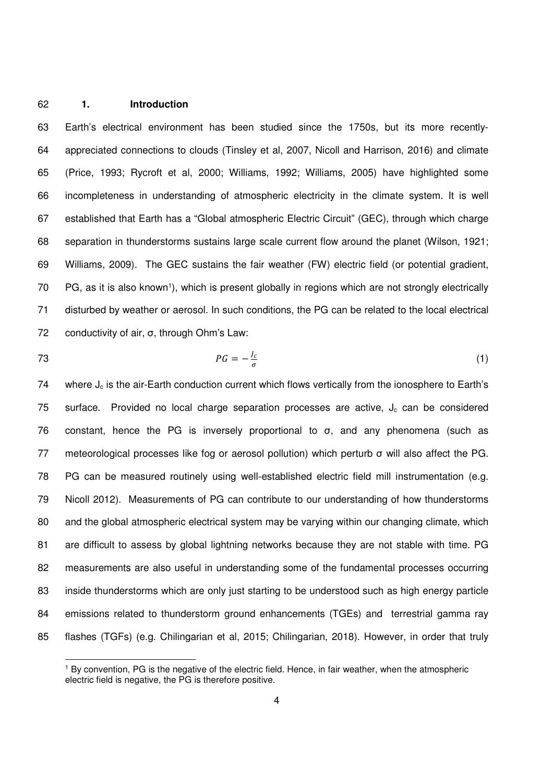### 62 **1. Introduction**

63 Earth's electrical environment has been studied since the 1750s, but its more recently-64 appreciated connections to clouds (Tinsley et al, 2007, Nicoll and Harrison, 2016) and climate 65 (Price, 1993; Rycroft et al, 2000; Williams, 1992; Williams, 2005) have highlighted some 66 incompleteness in understanding of atmospheric electricity in the climate system. It is well 67 established that Earth has a "Global atmospheric Electric Circuit" (GEC), through which charge 68 separation in thunderstorms sustains large scale current flow around the planet (Wilson, 1921; 69 Williams, 2009). The GEC sustains the fair weather (FW) electric field (or potential gradient, 70 PG, as it is also known<sup>1</sup>), which is present globally in regions which are not strongly electrically 71 disturbed by weather or aerosol. In such conditions, the PG can be related to the local electrical 72 conductivity of air, σ, through Ohm's Law:

1

$$
PG = -\frac{J_c}{\sigma} \tag{1}
$$

74 where  $J_c$  is the air-Earth conduction current which flows vertically from the ionosphere to Earth's 75 surface. Provided no local charge separation processes are active,  $J_c$  can be considered 76 constant, hence the PG is inversely proportional to σ, and any phenomena (such as 77 meteorological processes like fog or aerosol pollution) which perturb σ will also affect the PG. 78 PG can be measured routinely using well-established electric field mill instrumentation (e.g. 79 Nicoll 2012). Measurements of PG can contribute to our understanding of how thunderstorms 80 and the global atmospheric electrical system may be varying within our changing climate, which 81 are difficult to assess by global lightning networks because they are not stable with time. PG 82 measurements are also useful in understanding some of the fundamental processes occurring 83 inside thunderstorms which are only just starting to be understood such as high energy particle 84 emissions related to thunderstorm ground enhancements (TGEs) and terrestrial gamma ray 85 flashes (TGFs) (e.g. Chilingarian et al, 2015; Chilingarian, 2018). However, in order that truly

<sup>&</sup>lt;sup>1</sup> By convention, PG is the negative of the electric field. Hence, in fair weather, when the atmospheric electric field is negative, the PG is therefore positive.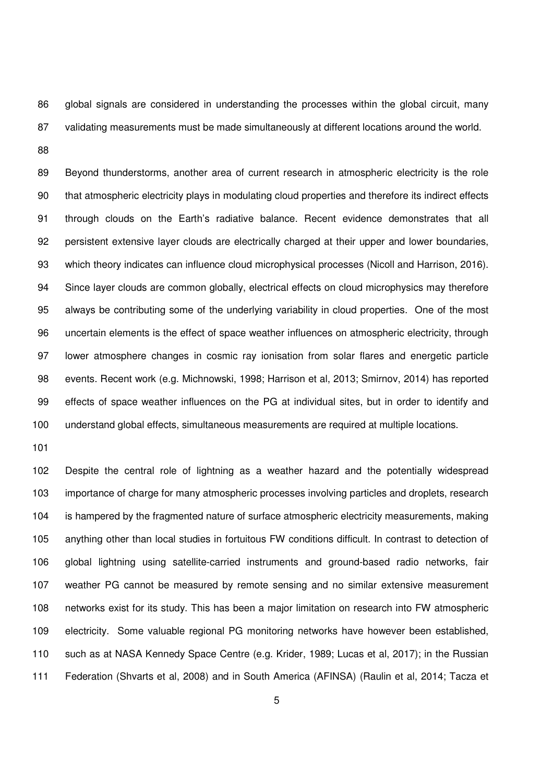86 global signals are considered in understanding the processes within the global circuit, many 87 validating measurements must be made simultaneously at different locations around the world.

88

89 Beyond thunderstorms, another area of current research in atmospheric electricity is the role 90 that atmospheric electricity plays in modulating cloud properties and therefore its indirect effects 91 through clouds on the Earth's radiative balance. Recent evidence demonstrates that all 92 persistent extensive layer clouds are electrically charged at their upper and lower boundaries, 93 which theory indicates can influence cloud microphysical processes (Nicoll and Harrison, 2016). 94 Since layer clouds are common globally, electrical effects on cloud microphysics may therefore 95 always be contributing some of the underlying variability in cloud properties. One of the most 96 uncertain elements is the effect of space weather influences on atmospheric electricity, through 97 lower atmosphere changes in cosmic ray ionisation from solar flares and energetic particle 98 events. Recent work (e.g. Michnowski, 1998; Harrison et al, 2013; Smirnov, 2014) has reported 99 effects of space weather influences on the PG at individual sites, but in order to identify and 100 understand global effects, simultaneous measurements are required at multiple locations.

101

102 Despite the central role of lightning as a weather hazard and the potentially widespread 103 importance of charge for many atmospheric processes involving particles and droplets, research 104 is hampered by the fragmented nature of surface atmospheric electricity measurements, making 105 anything other than local studies in fortuitous FW conditions difficult. In contrast to detection of 106 global lightning using satellite-carried instruments and ground-based radio networks, fair 107 weather PG cannot be measured by remote sensing and no similar extensive measurement 108 networks exist for its study. This has been a major limitation on research into FW atmospheric 109 electricity. Some valuable regional PG monitoring networks have however been established, 110 such as at NASA Kennedy Space Centre (e.g. Krider, 1989; Lucas et al, 2017); in the Russian 111 Federation (Shvarts et al, 2008) and in South America (AFINSA) (Raulin et al, 2014; Tacza et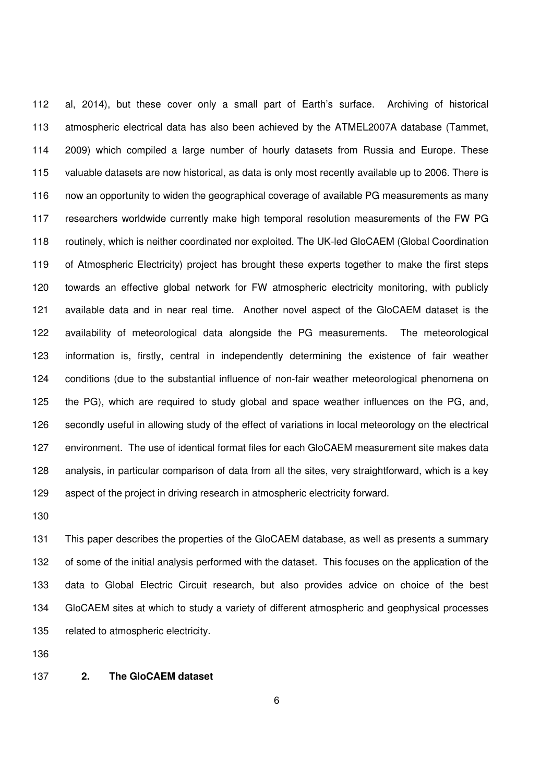112 al, 2014), but these cover only a small part of Earth's surface. Archiving of historical 113 atmospheric electrical data has also been achieved by the ATMEL2007A database (Tammet, 114 2009) which compiled a large number of hourly datasets from Russia and Europe. These 115 valuable datasets are now historical, as data is only most recently available up to 2006. There is 116 now an opportunity to widen the geographical coverage of available PG measurements as many 117 researchers worldwide currently make high temporal resolution measurements of the FW PG 118 routinely, which is neither coordinated nor exploited. The UK-led GloCAEM (Global Coordination 119 of Atmospheric Electricity) project has brought these experts together to make the first steps 120 towards an effective global network for FW atmospheric electricity monitoring, with publicly 121 available data and in near real time. Another novel aspect of the GloCAEM dataset is the 122 availability of meteorological data alongside the PG measurements. The meteorological 123 information is, firstly, central in independently determining the existence of fair weather 124 conditions (due to the substantial influence of non-fair weather meteorological phenomena on 125 the PG), which are required to study global and space weather influences on the PG, and, 126 secondly useful in allowing study of the effect of variations in local meteorology on the electrical 127 environment. The use of identical format files for each GloCAEM measurement site makes data 128 analysis, in particular comparison of data from all the sites, very straightforward, which is a key 129 aspect of the project in driving research in atmospheric electricity forward.

130

131 This paper describes the properties of the GloCAEM database, as well as presents a summary 132 of some of the initial analysis performed with the dataset. This focuses on the application of the 133 data to Global Electric Circuit research, but also provides advice on choice of the best 134 GloCAEM sites at which to study a variety of different atmospheric and geophysical processes 135 related to atmospheric electricity.

136

## 137 **2. The GloCAEM dataset**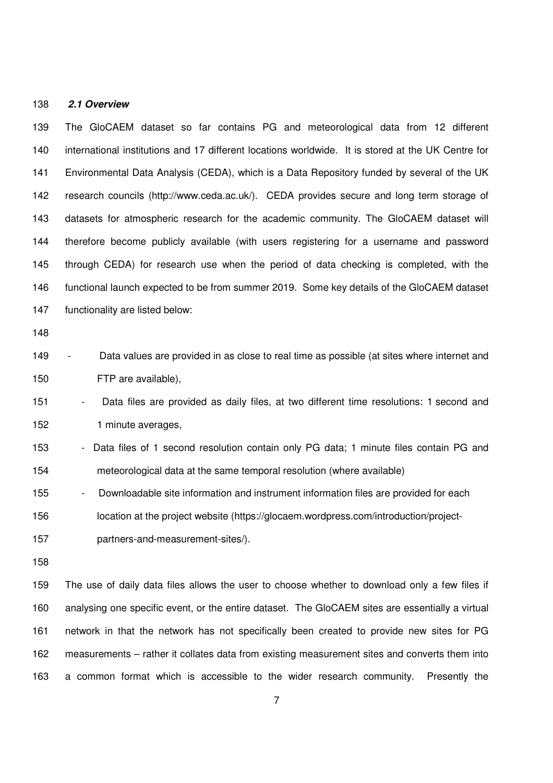#### 138 **2.1 Overview**

139 The GloCAEM dataset so far contains PG and meteorological data from 12 different 140 international institutions and 17 different locations worldwide. It is stored at the UK Centre for 141 Environmental Data Analysis (CEDA), which is a Data Repository funded by several of the UK 142 research councils (http://www.ceda.ac.uk/). CEDA provides secure and long term storage of 143 datasets for atmospheric research for the academic community. The GloCAEM dataset will 144 therefore become publicly available (with users registering for a username and password 145 through CEDA) for research use when the period of data checking is completed, with the 146 functional launch expected to be from summer 2019. Some key details of the GloCAEM dataset 147 functionality are listed below:

148

149 - Data values are provided in as close to real time as possible (at sites where internet and 150 FTP are available),

151 - Data files are provided as daily files, at two different time resolutions: 1 second and 152 1 minute averages,

153 - Data files of 1 second resolution contain only PG data; 1 minute files contain PG and 154 meteorological data at the same temporal resolution (where available)

155 - Downloadable site information and instrument information files are provided for each

156 location at the project website (https://glocaem.wordpress.com/introduction/project-

157 partners-and-measurement-sites/).

158

159 The use of daily data files allows the user to choose whether to download only a few files if 160 analysing one specific event, or the entire dataset. The GloCAEM sites are essentially a virtual 161 network in that the network has not specifically been created to provide new sites for PG 162 measurements – rather it collates data from existing measurement sites and converts them into 163 a common format which is accessible to the wider research community. Presently the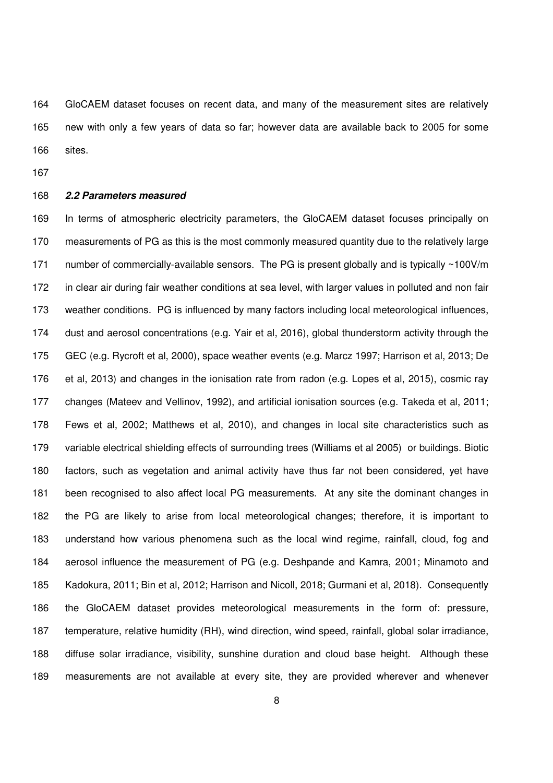164 GloCAEM dataset focuses on recent data, and many of the measurement sites are relatively 165 new with only a few years of data so far; however data are available back to 2005 for some 166 sites.

167

### 168 **2.2 Parameters measured**

169 In terms of atmospheric electricity parameters, the GloCAEM dataset focuses principally on 170 measurements of PG as this is the most commonly measured quantity due to the relatively large 171 number of commercially-available sensors. The PG is present globally and is typically ~100V/m 172 in clear air during fair weather conditions at sea level, with larger values in polluted and non fair 173 weather conditions. PG is influenced by many factors including local meteorological influences, 174 dust and aerosol concentrations (e.g. Yair et al, 2016), global thunderstorm activity through the 175 GEC (e.g. Rycroft et al, 2000), space weather events (e.g. Marcz 1997; Harrison et al, 2013; De 176 et al, 2013) and changes in the ionisation rate from radon (e.g. Lopes et al, 2015), cosmic ray 177 changes (Mateev and Vellinov, 1992), and artificial ionisation sources (e.g. Takeda et al, 2011; 178 Fews et al, 2002; Matthews et al, 2010), and changes in local site characteristics such as 179 variable electrical shielding effects of surrounding trees (Williams et al 2005) or buildings. Biotic 180 factors, such as vegetation and animal activity have thus far not been considered, yet have 181 been recognised to also affect local PG measurements. At any site the dominant changes in 182 the PG are likely to arise from local meteorological changes; therefore, it is important to 183 understand how various phenomena such as the local wind regime, rainfall, cloud, fog and 184 aerosol influence the measurement of PG (e.g. Deshpande and Kamra, 2001; Minamoto and 185 Kadokura, 2011; Bin et al, 2012; Harrison and Nicoll, 2018; Gurmani et al, 2018). Consequently 186 the GloCAEM dataset provides meteorological measurements in the form of: pressure, 187 temperature, relative humidity (RH), wind direction, wind speed, rainfall, global solar irradiance, 188 diffuse solar irradiance, visibility, sunshine duration and cloud base height. Although these 189 measurements are not available at every site, they are provided wherever and whenever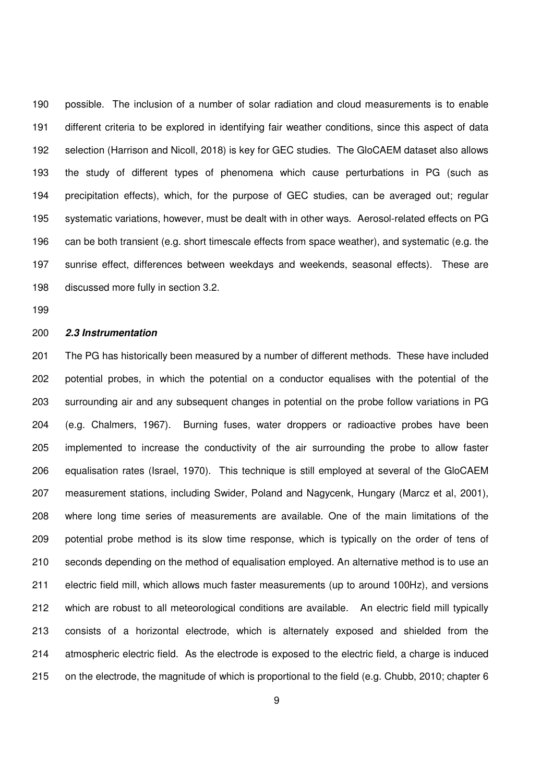190 possible. The inclusion of a number of solar radiation and cloud measurements is to enable 191 different criteria to be explored in identifying fair weather conditions, since this aspect of data 192 selection (Harrison and Nicoll, 2018) is key for GEC studies. The GloCAEM dataset also allows 193 the study of different types of phenomena which cause perturbations in PG (such as 194 precipitation effects), which, for the purpose of GEC studies, can be averaged out; regular 195 systematic variations, however, must be dealt with in other ways. Aerosol-related effects on PG 196 can be both transient (e.g. short timescale effects from space weather), and systematic (e.g. the 197 sunrise effect, differences between weekdays and weekends, seasonal effects). These are 198 discussed more fully in section 3.2.

199

# 200 **2.3 Instrumentation**

201 The PG has historically been measured by a number of different methods. These have included 202 potential probes, in which the potential on a conductor equalises with the potential of the 203 surrounding air and any subsequent changes in potential on the probe follow variations in PG 204 (e.g. Chalmers, 1967). Burning fuses, water droppers or radioactive probes have been 205 implemented to increase the conductivity of the air surrounding the probe to allow faster 206 equalisation rates (Israel, 1970). This technique is still employed at several of the GloCAEM 207 measurement stations, including Swider, Poland and Nagycenk, Hungary (Marcz et al, 2001), 208 where long time series of measurements are available. One of the main limitations of the 209 potential probe method is its slow time response, which is typically on the order of tens of 210 seconds depending on the method of equalisation employed. An alternative method is to use an 211 electric field mill, which allows much faster measurements (up to around 100Hz), and versions 212 which are robust to all meteorological conditions are available. An electric field mill typically 213 consists of a horizontal electrode, which is alternately exposed and shielded from the 214 atmospheric electric field. As the electrode is exposed to the electric field, a charge is induced 215 on the electrode, the magnitude of which is proportional to the field (e.g. Chubb, 2010; chapter 6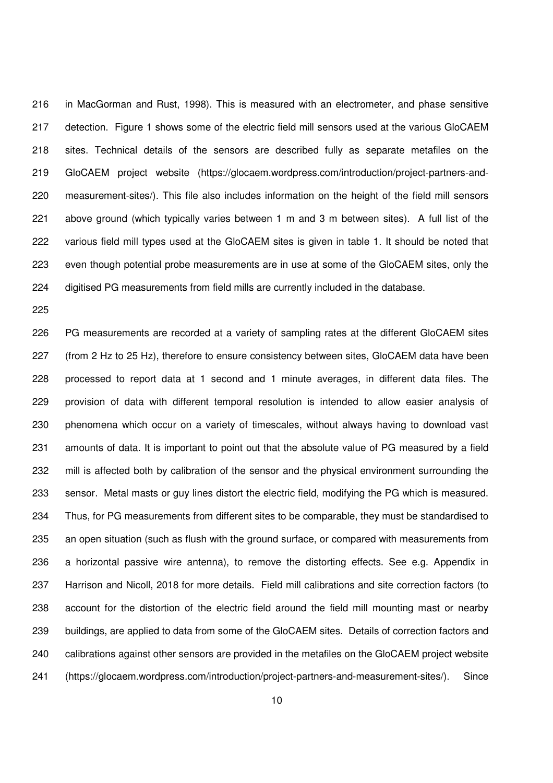216 in MacGorman and Rust, 1998). This is measured with an electrometer, and phase sensitive 217 detection. Figure 1 shows some of the electric field mill sensors used at the various GloCAEM 218 sites. Technical details of the sensors are described fully as separate metafiles on the 219 GloCAEM project website (https://glocaem.wordpress.com/introduction/project-partners-and-220 measurement-sites/). This file also includes information on the height of the field mill sensors 221 above ground (which typically varies between 1 m and 3 m between sites). A full list of the 222 various field mill types used at the GloCAEM sites is given in table 1. It should be noted that 223 even though potential probe measurements are in use at some of the GloCAEM sites, only the 224 digitised PG measurements from field mills are currently included in the database.

225

226 PG measurements are recorded at a variety of sampling rates at the different GloCAEM sites 227 (from 2 Hz to 25 Hz), therefore to ensure consistency between sites, GloCAEM data have been 228 processed to report data at 1 second and 1 minute averages, in different data files. The 229 provision of data with different temporal resolution is intended to allow easier analysis of 230 phenomena which occur on a variety of timescales, without always having to download vast 231 amounts of data. It is important to point out that the absolute value of PG measured by a field 232 mill is affected both by calibration of the sensor and the physical environment surrounding the 233 sensor. Metal masts or guy lines distort the electric field, modifying the PG which is measured. 234 Thus, for PG measurements from different sites to be comparable, they must be standardised to 235 an open situation (such as flush with the ground surface, or compared with measurements from 236 a horizontal passive wire antenna), to remove the distorting effects. See e.g. Appendix in 237 Harrison and Nicoll, 2018 for more details. Field mill calibrations and site correction factors (to 238 account for the distortion of the electric field around the field mill mounting mast or nearby 239 buildings, are applied to data from some of the GloCAEM sites. Details of correction factors and 240 calibrations against other sensors are provided in the metafiles on the GloCAEM project website 241 (https://glocaem.wordpress.com/introduction/project-partners-and-measurement-sites/). Since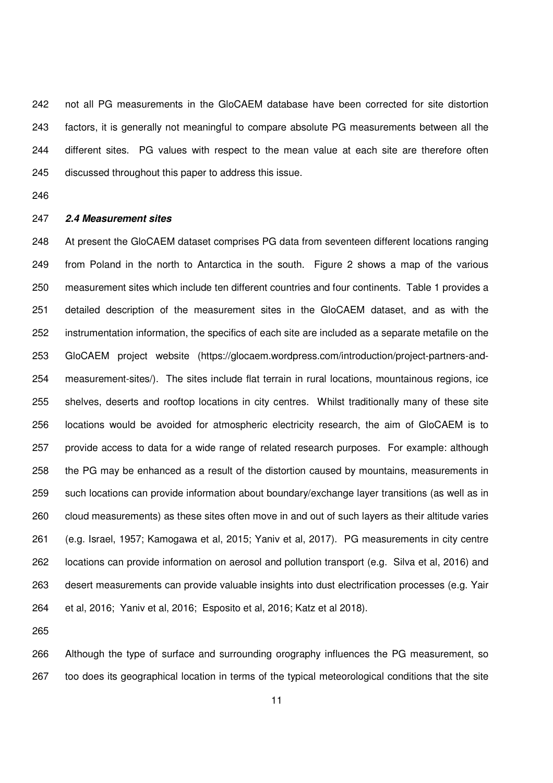242 not all PG measurements in the GloCAEM database have been corrected for site distortion 243 factors, it is generally not meaningful to compare absolute PG measurements between all the 244 different sites. PG values with respect to the mean value at each site are therefore often 245 discussed throughout this paper to address this issue.

246

# 247 **2.4 Measurement sites**

248 At present the GloCAEM dataset comprises PG data from seventeen different locations ranging 249 from Poland in the north to Antarctica in the south. Figure 2 shows a map of the various 250 measurement sites which include ten different countries and four continents. Table 1 provides a 251 detailed description of the measurement sites in the GloCAEM dataset, and as with the 252 instrumentation information, the specifics of each site are included as a separate metafile on the 253 GloCAEM project website (https://glocaem.wordpress.com/introduction/project-partners-and-254 measurement-sites/). The sites include flat terrain in rural locations, mountainous regions, ice 255 shelves, deserts and rooftop locations in city centres. Whilst traditionally many of these site 256 locations would be avoided for atmospheric electricity research, the aim of GloCAEM is to 257 provide access to data for a wide range of related research purposes. For example: although 258 the PG may be enhanced as a result of the distortion caused by mountains, measurements in 259 such locations can provide information about boundary/exchange layer transitions (as well as in 260 cloud measurements) as these sites often move in and out of such layers as their altitude varies 261 (e.g. Israel, 1957; Kamogawa et al, 2015; Yaniv et al, 2017). PG measurements in city centre 262 locations can provide information on aerosol and pollution transport (e.g. Silva et al, 2016) and 263 desert measurements can provide valuable insights into dust electrification processes (e.g. Yair 264 et al, 2016; Yaniv et al, 2016; Esposito et al, 2016; Katz et al 2018).

265

266 Although the type of surface and surrounding orography influences the PG measurement, so 267 too does its geographical location in terms of the typical meteorological conditions that the site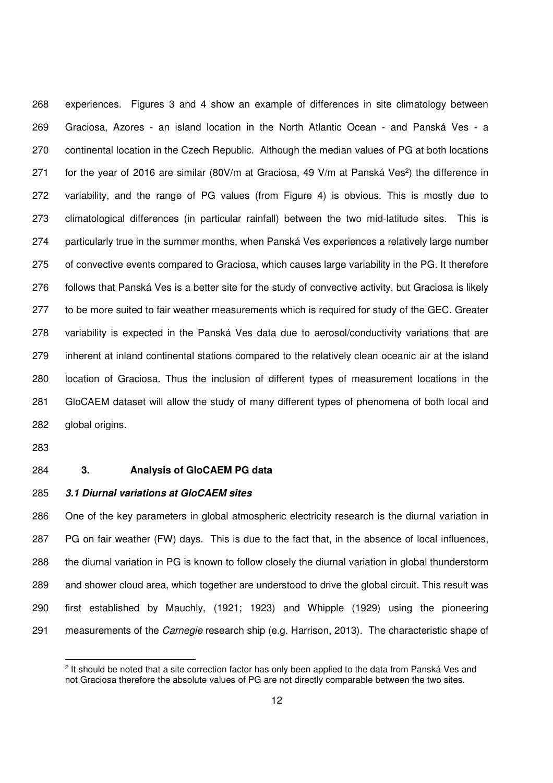268 experiences. Figures 3 and 4 show an example of differences in site climatology between 269 Graciosa, Azores - an island location in the North Atlantic Ocean - and Panská Ves - a 270 continental location in the Czech Republic. Although the median values of PG at both locations 271 for the year of 2016 are similar (80V/m at Graciosa, 49 V/m at Panská Ves<sup>2</sup>) the difference in 272 variability, and the range of PG values (from Figure 4) is obvious. This is mostly due to 273 climatological differences (in particular rainfall) between the two mid-latitude sites. This is 274 particularly true in the summer months, when Panská Ves experiences a relatively large number 275 of convective events compared to Graciosa, which causes large variability in the PG. It therefore 276 follows that Panská Ves is a better site for the study of convective activity, but Graciosa is likely 277 to be more suited to fair weather measurements which is required for study of the GEC. Greater 278 variability is expected in the Panská Ves data due to aerosol/conductivity variations that are 279 inherent at inland continental stations compared to the relatively clean oceanic air at the island 280 location of Graciosa. Thus the inclusion of different types of measurement locations in the 281 GloCAEM dataset will allow the study of many different types of phenomena of both local and 282 global origins.

283

1

## 284 **3. Analysis of GloCAEM PG data**

285 **3.1 Diurnal variations at GloCAEM sites** 

286 One of the key parameters in global atmospheric electricity research is the diurnal variation in 287 PG on fair weather (FW) days. This is due to the fact that, in the absence of local influences, 288 the diurnal variation in PG is known to follow closely the diurnal variation in global thunderstorm 289 and shower cloud area, which together are understood to drive the global circuit. This result was 290 first established by Mauchly, (1921; 1923) and Whipple (1929) using the pioneering 291 measurements of the *Carnegie* research ship (e.g. Harrison, 2013). The characteristic shape of

<sup>&</sup>lt;sup>2</sup> It should be noted that a site correction factor has only been applied to the data from Panská Ves and not Graciosa therefore the absolute values of PG are not directly comparable between the two sites.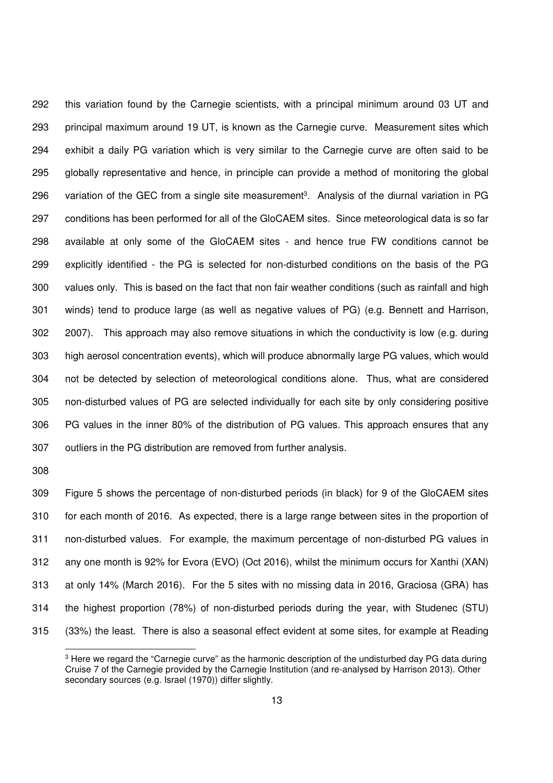292 this variation found by the Carnegie scientists, with a principal minimum around 03 UT and 293 principal maximum around 19 UT, is known as the Carnegie curve. Measurement sites which 294 exhibit a daily PG variation which is very similar to the Carnegie curve are often said to be 295 globally representative and hence, in principle can provide a method of monitoring the global 296 variation of the GEC from a single site measurement<sup>3</sup>. Analysis of the diurnal variation in PG 297 conditions has been performed for all of the GloCAEM sites. Since meteorological data is so far 298 available at only some of the GloCAEM sites - and hence true FW conditions cannot be 299 explicitly identified - the PG is selected for non-disturbed conditions on the basis of the PG 300 values only. This is based on the fact that non fair weather conditions (such as rainfall and high 301 winds) tend to produce large (as well as negative values of PG) (e.g. Bennett and Harrison, 302 2007). This approach may also remove situations in which the conductivity is low (e.g. during 303 high aerosol concentration events), which will produce abnormally large PG values, which would 304 not be detected by selection of meteorological conditions alone. Thus, what are considered 305 non-disturbed values of PG are selected individually for each site by only considering positive 306 PG values in the inner 80% of the distribution of PG values. This approach ensures that any 307 outliers in the PG distribution are removed from further analysis.

308

1

309 Figure 5 shows the percentage of non-disturbed periods (in black) for 9 of the GloCAEM sites 310 for each month of 2016. As expected, there is a large range between sites in the proportion of 311 non-disturbed values. For example, the maximum percentage of non-disturbed PG values in 312 any one month is 92% for Evora (EVO) (Oct 2016), whilst the minimum occurs for Xanthi (XAN) 313 at only 14% (March 2016). For the 5 sites with no missing data in 2016, Graciosa (GRA) has 314 the highest proportion (78%) of non-disturbed periods during the year, with Studenec (STU) 315 (33%) the least. There is also a seasonal effect evident at some sites, for example at Reading

 $3$  Here we regard the "Carnegie curve" as the harmonic description of the undisturbed day PG data during Cruise 7 of the Carnegie provided by the Carnegie Institution (and re-analysed by Harrison 2013). Other secondary sources (e.g. Israel (1970)) differ slightly.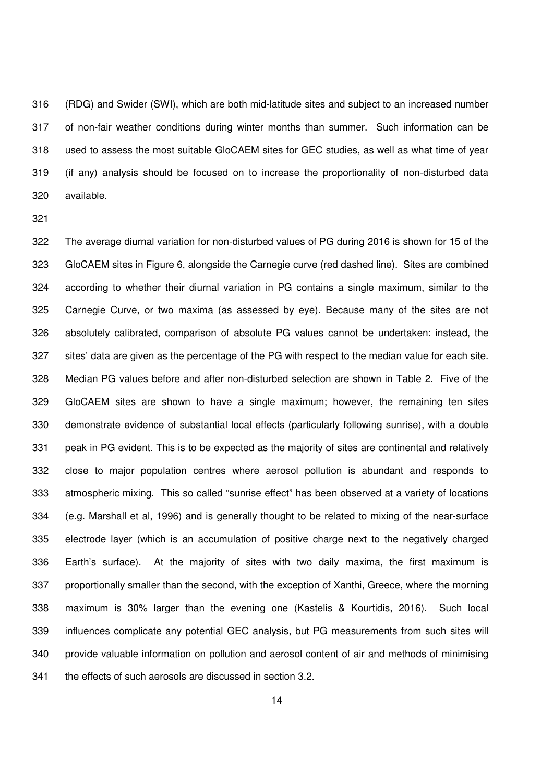316 (RDG) and Swider (SWI), which are both mid-latitude sites and subject to an increased number 317 of non-fair weather conditions during winter months than summer. Such information can be 318 used to assess the most suitable GloCAEM sites for GEC studies, as well as what time of year 319 (if any) analysis should be focused on to increase the proportionality of non-disturbed data 320 available.

321

322 The average diurnal variation for non-disturbed values of PG during 2016 is shown for 15 of the 323 GloCAEM sites in Figure 6, alongside the Carnegie curve (red dashed line). Sites are combined 324 according to whether their diurnal variation in PG contains a single maximum, similar to the 325 Carnegie Curve, or two maxima (as assessed by eye). Because many of the sites are not 326 absolutely calibrated, comparison of absolute PG values cannot be undertaken: instead, the 327 sites' data are given as the percentage of the PG with respect to the median value for each site. 328 Median PG values before and after non-disturbed selection are shown in Table 2. Five of the 329 GloCAEM sites are shown to have a single maximum; however, the remaining ten sites 330 demonstrate evidence of substantial local effects (particularly following sunrise), with a double 331 peak in PG evident. This is to be expected as the majority of sites are continental and relatively 332 close to major population centres where aerosol pollution is abundant and responds to 333 atmospheric mixing. This so called "sunrise effect" has been observed at a variety of locations 334 (e.g. Marshall et al, 1996) and is generally thought to be related to mixing of the near-surface 335 electrode layer (which is an accumulation of positive charge next to the negatively charged 336 Earth's surface). At the majority of sites with two daily maxima, the first maximum is 337 proportionally smaller than the second, with the exception of Xanthi, Greece, where the morning 338 maximum is 30% larger than the evening one (Kastelis & Kourtidis, 2016). Such local 339 influences complicate any potential GEC analysis, but PG measurements from such sites will 340 provide valuable information on pollution and aerosol content of air and methods of minimising 341 the effects of such aerosols are discussed in section 3.2.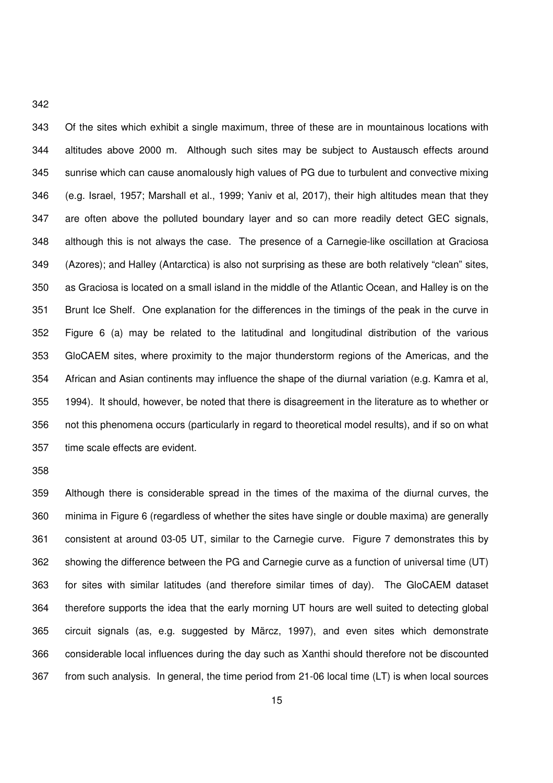343 Of the sites which exhibit a single maximum, three of these are in mountainous locations with 344 altitudes above 2000 m. Although such sites may be subject to Austausch effects around 345 sunrise which can cause anomalously high values of PG due to turbulent and convective mixing 346 (e.g. Israel, 1957; Marshall et al., 1999; Yaniv et al, 2017), their high altitudes mean that they 347 are often above the polluted boundary layer and so can more readily detect GEC signals, 348 although this is not always the case. The presence of a Carnegie-like oscillation at Graciosa 349 (Azores); and Halley (Antarctica) is also not surprising as these are both relatively "clean" sites, 350 as Graciosa is located on a small island in the middle of the Atlantic Ocean, and Halley is on the 351 Brunt Ice Shelf. One explanation for the differences in the timings of the peak in the curve in 352 Figure 6 (a) may be related to the latitudinal and longitudinal distribution of the various 353 GloCAEM sites, where proximity to the major thunderstorm regions of the Americas, and the 354 African and Asian continents may influence the shape of the diurnal variation (e.g. Kamra et al, 355 1994). It should, however, be noted that there is disagreement in the literature as to whether or 356 not this phenomena occurs (particularly in regard to theoretical model results), and if so on what 357 time scale effects are evident.

358

359 Although there is considerable spread in the times of the maxima of the diurnal curves, the 360 minima in Figure 6 (regardless of whether the sites have single or double maxima) are generally 361 consistent at around 03-05 UT, similar to the Carnegie curve. Figure 7 demonstrates this by 362 showing the difference between the PG and Carnegie curve as a function of universal time (UT) 363 for sites with similar latitudes (and therefore similar times of day). The GloCAEM dataset 364 therefore supports the idea that the early morning UT hours are well suited to detecting global 365 circuit signals (as, e.g. suggested by Märcz, 1997), and even sites which demonstrate 366 considerable local influences during the day such as Xanthi should therefore not be discounted 367 from such analysis. In general, the time period from 21-06 local time (LT) is when local sources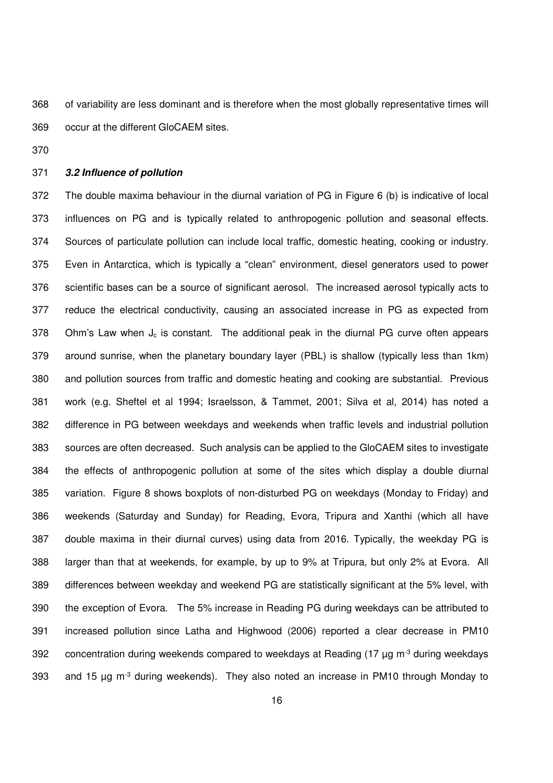368 of variability are less dominant and is therefore when the most globally representative times will 369 occur at the different GloCAEM sites.

370

# 371 **3.2 Influence of pollution**

372 The double maxima behaviour in the diurnal variation of PG in Figure 6 (b) is indicative of local 373 influences on PG and is typically related to anthropogenic pollution and seasonal effects. 374 Sources of particulate pollution can include local traffic, domestic heating, cooking or industry. 375 Even in Antarctica, which is typically a "clean" environment, diesel generators used to power 376 scientific bases can be a source of significant aerosol. The increased aerosol typically acts to 377 reduce the electrical conductivity, causing an associated increase in PG as expected from 378 Ohm's Law when  $J_c$  is constant. The additional peak in the diurnal PG curve often appears 379 around sunrise, when the planetary boundary layer (PBL) is shallow (typically less than 1km) 380 and pollution sources from traffic and domestic heating and cooking are substantial. Previous 381 work (e.g. Sheftel et al 1994; Israelsson, & Tammet, 2001; Silva et al, 2014) has noted a 382 difference in PG between weekdays and weekends when traffic levels and industrial pollution 383 sources are often decreased. Such analysis can be applied to the GloCAEM sites to investigate 384 the effects of anthropogenic pollution at some of the sites which display a double diurnal 385 variation. Figure 8 shows boxplots of non-disturbed PG on weekdays (Monday to Friday) and 386 weekends (Saturday and Sunday) for Reading, Evora, Tripura and Xanthi (which all have 387 double maxima in their diurnal curves) using data from 2016. Typically, the weekday PG is 388 larger than that at weekends, for example, by up to 9% at Tripura, but only 2% at Evora. All 389 differences between weekday and weekend PG are statistically significant at the 5% level, with 390 the exception of Evora. The 5% increase in Reading PG during weekdays can be attributed to 391 increased pollution since Latha and Highwood (2006) reported a clear decrease in PM10 392 concentration during weekends compared to weekdays at Reading (17  $\mu$ g m<sup>-3</sup> during weekdays 393 and 15  $\mu$ g m<sup>-3</sup> during weekends). They also noted an increase in PM10 through Monday to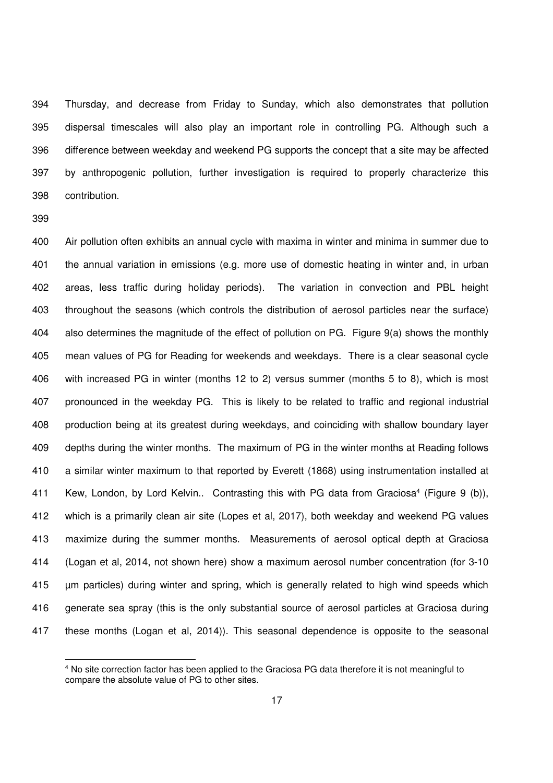394 Thursday, and decrease from Friday to Sunday, which also demonstrates that pollution 395 dispersal timescales will also play an important role in controlling PG. Although such a 396 difference between weekday and weekend PG supports the concept that a site may be affected 397 by anthropogenic pollution, further investigation is required to properly characterize this 398 contribution.

399

1

400 Air pollution often exhibits an annual cycle with maxima in winter and minima in summer due to 401 the annual variation in emissions (e.g. more use of domestic heating in winter and, in urban 402 areas, less traffic during holiday periods). The variation in convection and PBL height 403 throughout the seasons (which controls the distribution of aerosol particles near the surface) 404 also determines the magnitude of the effect of pollution on PG. Figure 9(a) shows the monthly 405 mean values of PG for Reading for weekends and weekdays. There is a clear seasonal cycle 406 with increased PG in winter (months 12 to 2) versus summer (months 5 to 8), which is most 407 pronounced in the weekday PG. This is likely to be related to traffic and regional industrial 408 production being at its greatest during weekdays, and coinciding with shallow boundary layer 409 depths during the winter months. The maximum of PG in the winter months at Reading follows 410 a similar winter maximum to that reported by Everett (1868) using instrumentation installed at 411 Kew, London, by Lord Kelvin.. Contrasting this with PG data from Graciosa<sup>4</sup> (Figure 9 (b)), 412 which is a primarily clean air site (Lopes et al, 2017), both weekday and weekend PG values 413 maximize during the summer months. Measurements of aerosol optical depth at Graciosa 414 (Logan et al, 2014, not shown here) show a maximum aerosol number concentration (for 3-10 415 µm particles) during winter and spring, which is generally related to high wind speeds which 416 generate sea spray (this is the only substantial source of aerosol particles at Graciosa during 417 these months (Logan et al, 2014)). This seasonal dependence is opposite to the seasonal

<sup>4</sup> No site correction factor has been applied to the Graciosa PG data therefore it is not meaningful to compare the absolute value of PG to other sites.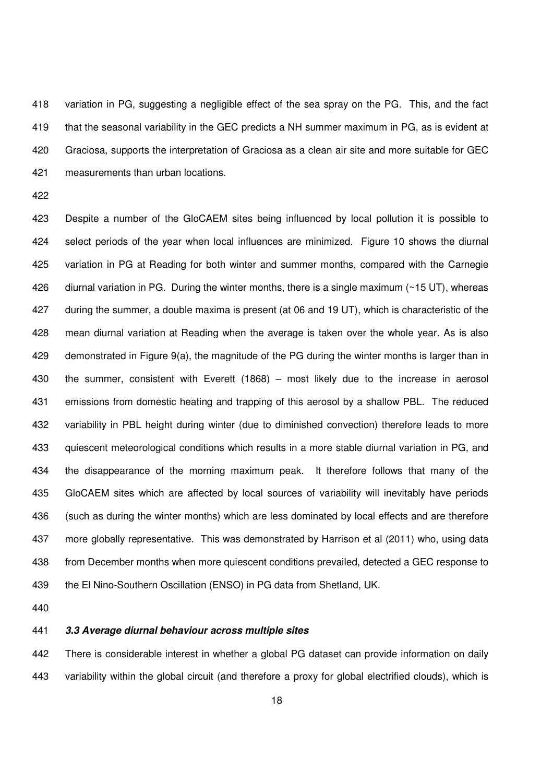418 variation in PG, suggesting a negligible effect of the sea spray on the PG. This, and the fact 419 that the seasonal variability in the GEC predicts a NH summer maximum in PG, as is evident at 420 Graciosa, supports the interpretation of Graciosa as a clean air site and more suitable for GEC 421 measurements than urban locations.

422

423 Despite a number of the GloCAEM sites being influenced by local pollution it is possible to 424 select periods of the year when local influences are minimized. Figure 10 shows the diurnal 425 variation in PG at Reading for both winter and summer months, compared with the Carnegie 426 diurnal variation in PG. During the winter months, there is a single maximum (~15 UT), whereas 427 during the summer, a double maxima is present (at 06 and 19 UT), which is characteristic of the 428 mean diurnal variation at Reading when the average is taken over the whole year. As is also 429 demonstrated in Figure 9(a), the magnitude of the PG during the winter months is larger than in 430 the summer, consistent with Everett (1868) – most likely due to the increase in aerosol 431 emissions from domestic heating and trapping of this aerosol by a shallow PBL. The reduced 432 variability in PBL height during winter (due to diminished convection) therefore leads to more 433 quiescent meteorological conditions which results in a more stable diurnal variation in PG, and 434 the disappearance of the morning maximum peak. It therefore follows that many of the 435 GloCAEM sites which are affected by local sources of variability will inevitably have periods 436 (such as during the winter months) which are less dominated by local effects and are therefore 437 more globally representative. This was demonstrated by Harrison et al (2011) who, using data 438 from December months when more quiescent conditions prevailed, detected a GEC response to 439 the El Nino-Southern Oscillation (ENSO) in PG data from Shetland, UK.

440

# 441 **3.3 Average diurnal behaviour across multiple sites**

442 There is considerable interest in whether a global PG dataset can provide information on daily 443 variability within the global circuit (and therefore a proxy for global electrified clouds), which is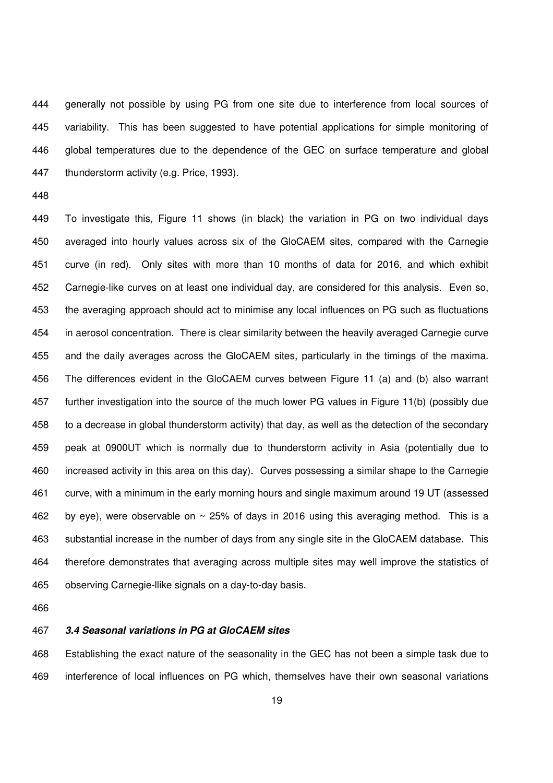444 generally not possible by using PG from one site due to interference from local sources of 445 variability. This has been suggested to have potential applications for simple monitoring of 446 global temperatures due to the dependence of the GEC on surface temperature and global 447 thunderstorm activity (e.g. Price, 1993).

448

449 To investigate this, Figure 11 shows (in black) the variation in PG on two individual days 450 averaged into hourly values across six of the GloCAEM sites, compared with the Carnegie 451 curve (in red). Only sites with more than 10 months of data for 2016, and which exhibit 452 Carnegie-like curves on at least one individual day, are considered for this analysis. Even so, 453 the averaging approach should act to minimise any local influences on PG such as fluctuations 454 in aerosol concentration. There is clear similarity between the heavily averaged Carnegie curve 455 and the daily averages across the GloCAEM sites, particularly in the timings of the maxima. 456 The differences evident in the GloCAEM curves between Figure 11 (a) and (b) also warrant 457 further investigation into the source of the much lower PG values in Figure 11(b) (possibly due 458 to a decrease in global thunderstorm activity) that day, as well as the detection of the secondary 459 peak at 0900UT which is normally due to thunderstorm activity in Asia (potentially due to 460 increased activity in this area on this day). Curves possessing a similar shape to the Carnegie 461 curve, with a minimum in the early morning hours and single maximum around 19 UT (assessed 462 by eye), were observable on  $\sim$  25% of days in 2016 using this averaging method. This is a 463 substantial increase in the number of days from any single site in the GloCAEM database. This 464 therefore demonstrates that averaging across multiple sites may well improve the statistics of 465 observing Carnegie-llike signals on a day-to-day basis.

466

# 467 **3.4 Seasonal variations in PG at GloCAEM sites**

468 Establishing the exact nature of the seasonality in the GEC has not been a simple task due to 469 interference of local influences on PG which, themselves have their own seasonal variations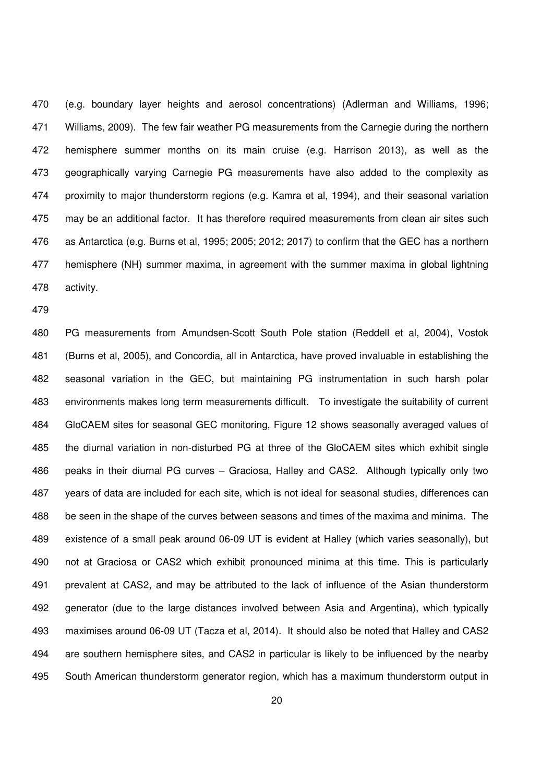470 (e.g. boundary layer heights and aerosol concentrations) (Adlerman and Williams, 1996; 471 Williams, 2009). The few fair weather PG measurements from the Carnegie during the northern 472 hemisphere summer months on its main cruise (e.g. Harrison 2013), as well as the 473 geographically varying Carnegie PG measurements have also added to the complexity as 474 proximity to major thunderstorm regions (e.g. Kamra et al, 1994), and their seasonal variation 475 may be an additional factor. It has therefore required measurements from clean air sites such 476 as Antarctica (e.g. Burns et al, 1995; 2005; 2012; 2017) to confirm that the GEC has a northern 477 hemisphere (NH) summer maxima, in agreement with the summer maxima in global lightning 478 activity.

479

480 PG measurements from Amundsen-Scott South Pole station (Reddell et al, 2004), Vostok 481 (Burns et al, 2005), and Concordia, all in Antarctica, have proved invaluable in establishing the 482 seasonal variation in the GEC, but maintaining PG instrumentation in such harsh polar 483 environments makes long term measurements difficult. To investigate the suitability of current 484 GloCAEM sites for seasonal GEC monitoring, Figure 12 shows seasonally averaged values of 485 the diurnal variation in non-disturbed PG at three of the GloCAEM sites which exhibit single 486 peaks in their diurnal PG curves – Graciosa, Halley and CAS2. Although typically only two 487 years of data are included for each site, which is not ideal for seasonal studies, differences can 488 be seen in the shape of the curves between seasons and times of the maxima and minima. The 489 existence of a small peak around 06-09 UT is evident at Halley (which varies seasonally), but 490 not at Graciosa or CAS2 which exhibit pronounced minima at this time. This is particularly 491 prevalent at CAS2, and may be attributed to the lack of influence of the Asian thunderstorm 492 generator (due to the large distances involved between Asia and Argentina), which typically 493 maximises around 06-09 UT (Tacza et al, 2014). It should also be noted that Halley and CAS2 494 are southern hemisphere sites, and CAS2 in particular is likely to be influenced by the nearby 495 South American thunderstorm generator region, which has a maximum thunderstorm output in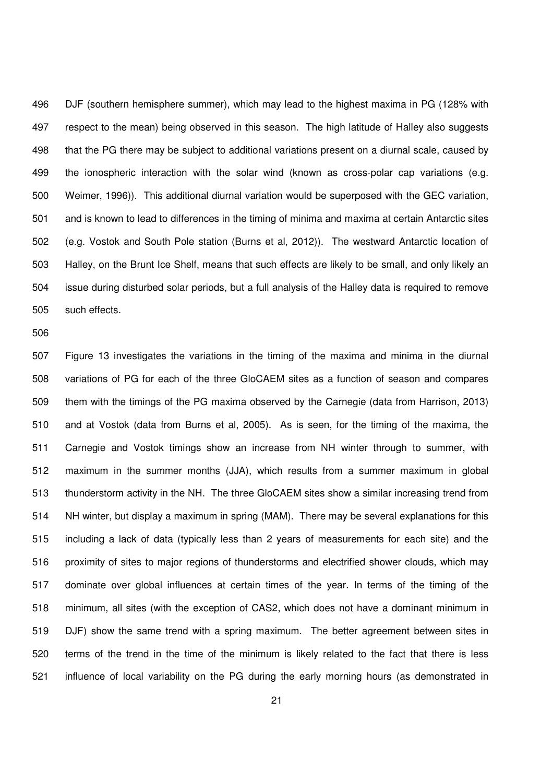496 DJF (southern hemisphere summer), which may lead to the highest maxima in PG (128% with 497 respect to the mean) being observed in this season. The high latitude of Halley also suggests 498 that the PG there may be subject to additional variations present on a diurnal scale, caused by 499 the ionospheric interaction with the solar wind (known as cross-polar cap variations (e.g. 500 Weimer, 1996)). This additional diurnal variation would be superposed with the GEC variation, 501 and is known to lead to differences in the timing of minima and maxima at certain Antarctic sites 502 (e.g. Vostok and South Pole station (Burns et al, 2012)). The westward Antarctic location of 503 Halley, on the Brunt Ice Shelf, means that such effects are likely to be small, and only likely an 504 issue during disturbed solar periods, but a full analysis of the Halley data is required to remove 505 such effects.

506

507 Figure 13 investigates the variations in the timing of the maxima and minima in the diurnal 508 variations of PG for each of the three GloCAEM sites as a function of season and compares 509 them with the timings of the PG maxima observed by the Carnegie (data from Harrison, 2013) 510 and at Vostok (data from Burns et al, 2005). As is seen, for the timing of the maxima, the 511 Carnegie and Vostok timings show an increase from NH winter through to summer, with 512 maximum in the summer months (JJA), which results from a summer maximum in global 513 thunderstorm activity in the NH. The three GloCAEM sites show a similar increasing trend from 514 NH winter, but display a maximum in spring (MAM). There may be several explanations for this 515 including a lack of data (typically less than 2 years of measurements for each site) and the 516 proximity of sites to major regions of thunderstorms and electrified shower clouds, which may 517 dominate over global influences at certain times of the year. In terms of the timing of the 518 minimum, all sites (with the exception of CAS2, which does not have a dominant minimum in 519 DJF) show the same trend with a spring maximum. The better agreement between sites in 520 terms of the trend in the time of the minimum is likely related to the fact that there is less 521 influence of local variability on the PG during the early morning hours (as demonstrated in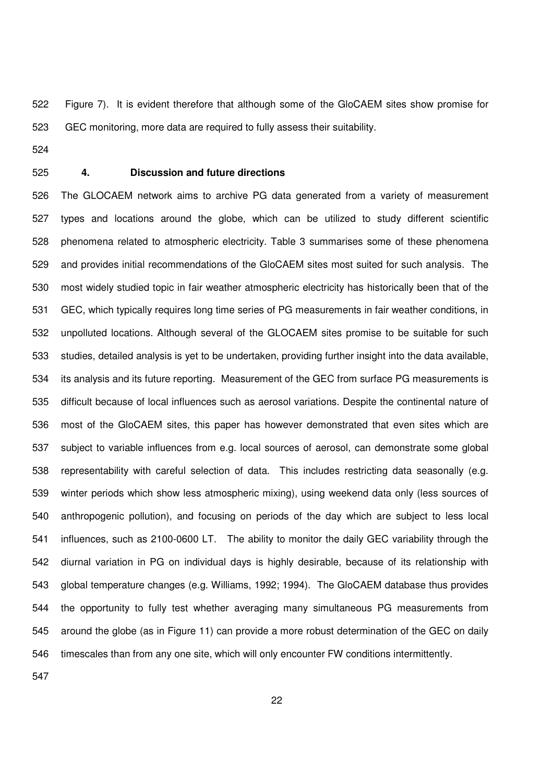522 Figure 7). It is evident therefore that although some of the GloCAEM sites show promise for 523 GEC monitoring, more data are required to fully assess their suitability.

524

# 525 **4. Discussion and future directions**

526 The GLOCAEM network aims to archive PG data generated from a variety of measurement 527 types and locations around the globe, which can be utilized to study different scientific 528 phenomena related to atmospheric electricity. Table 3 summarises some of these phenomena 529 and provides initial recommendations of the GloCAEM sites most suited for such analysis. The 530 most widely studied topic in fair weather atmospheric electricity has historically been that of the 531 GEC, which typically requires long time series of PG measurements in fair weather conditions, in 532 unpolluted locations. Although several of the GLOCAEM sites promise to be suitable for such 533 studies, detailed analysis is yet to be undertaken, providing further insight into the data available, 534 its analysis and its future reporting. Measurement of the GEC from surface PG measurements is 535 difficult because of local influences such as aerosol variations. Despite the continental nature of 536 most of the GloCAEM sites, this paper has however demonstrated that even sites which are 537 subject to variable influences from e.g. local sources of aerosol, can demonstrate some global 538 representability with careful selection of data. This includes restricting data seasonally (e.g. 539 winter periods which show less atmospheric mixing), using weekend data only (less sources of 540 anthropogenic pollution), and focusing on periods of the day which are subject to less local 541 influences, such as 2100-0600 LT. The ability to monitor the daily GEC variability through the 542 diurnal variation in PG on individual days is highly desirable, because of its relationship with 543 global temperature changes (e.g. Williams, 1992; 1994). The GloCAEM database thus provides 544 the opportunity to fully test whether averaging many simultaneous PG measurements from 545 around the globe (as in Figure 11) can provide a more robust determination of the GEC on daily 546 timescales than from any one site, which will only encounter FW conditions intermittently.

547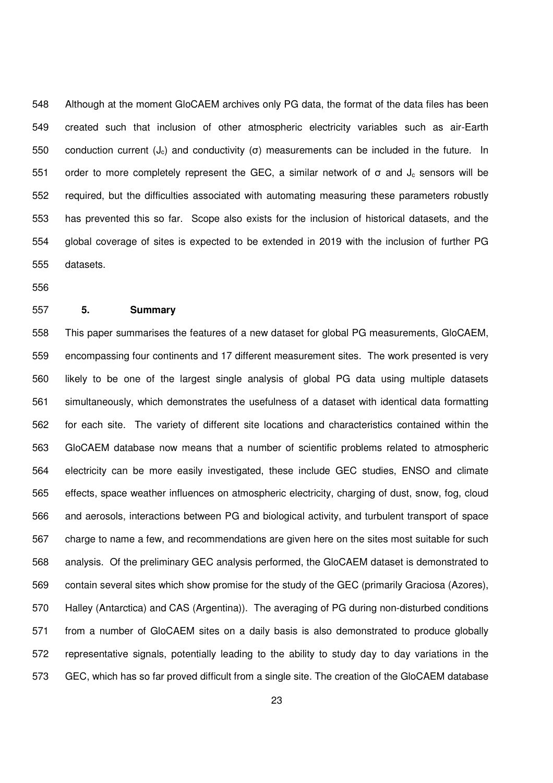548 Although at the moment GloCAEM archives only PG data, the format of the data files has been 549 created such that inclusion of other atmospheric electricity variables such as air-Earth 550 conduction current (J<sub>c</sub>) and conductivity (σ) measurements can be included in the future. In 551 order to more completely represent the GEC, a similar network of  $\sigma$  and  $J_c$  sensors will be 552 required, but the difficulties associated with automating measuring these parameters robustly 553 has prevented this so far. Scope also exists for the inclusion of historical datasets, and the 554 global coverage of sites is expected to be extended in 2019 with the inclusion of further PG 555 datasets.

556

# 557 **5. Summary**

558 This paper summarises the features of a new dataset for global PG measurements, GloCAEM, 559 encompassing four continents and 17 different measurement sites. The work presented is very 560 likely to be one of the largest single analysis of global PG data using multiple datasets 561 simultaneously, which demonstrates the usefulness of a dataset with identical data formatting 562 for each site. The variety of different site locations and characteristics contained within the 563 GloCAEM database now means that a number of scientific problems related to atmospheric 564 electricity can be more easily investigated, these include GEC studies, ENSO and climate 565 effects, space weather influences on atmospheric electricity, charging of dust, snow, fog, cloud 566 and aerosols, interactions between PG and biological activity, and turbulent transport of space 567 charge to name a few, and recommendations are given here on the sites most suitable for such 568 analysis. Of the preliminary GEC analysis performed, the GloCAEM dataset is demonstrated to 569 contain several sites which show promise for the study of the GEC (primarily Graciosa (Azores), 570 Halley (Antarctica) and CAS (Argentina)). The averaging of PG during non-disturbed conditions 571 from a number of GloCAEM sites on a daily basis is also demonstrated to produce globally 572 representative signals, potentially leading to the ability to study day to day variations in the 573 GEC, which has so far proved difficult from a single site. The creation of the GloCAEM database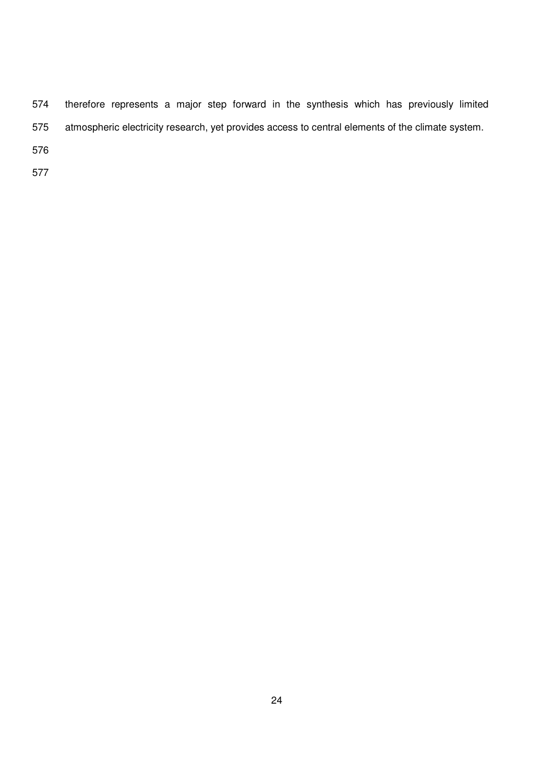574 therefore represents a major step forward in the synthesis which has previously limited 575 atmospheric electricity research, yet provides access to central elements of the climate system.

576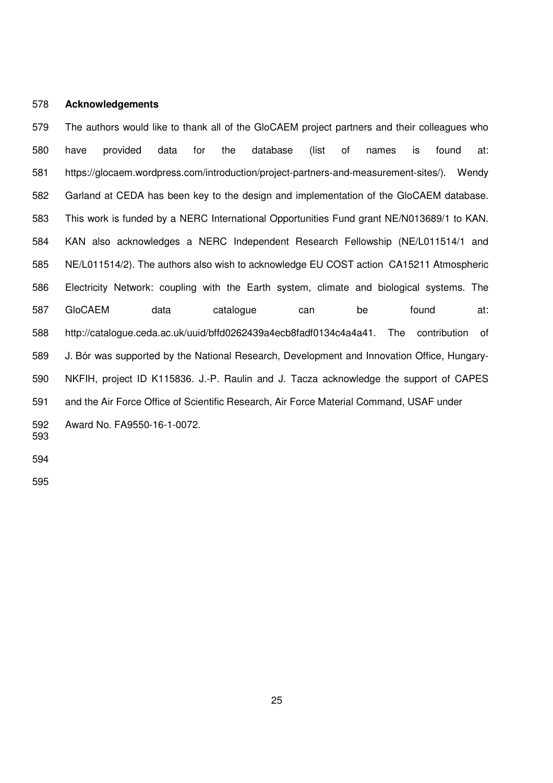## 578 **Acknowledgements**

579 The authors would like to thank all of the GloCAEM project partners and their colleagues who 580 have provided data for the database (list of names is found at: 581 https://glocaem.wordpress.com/introduction/project-partners-and-measurement-sites/). Wendy 582 Garland at CEDA has been key to the design and implementation of the GloCAEM database. 583 This work is funded by a NERC International Opportunities Fund grant NE/N013689/1 to KAN. 584 KAN also acknowledges a NERC Independent Research Fellowship (NE/L011514/1 and 585 NE/L011514/2). The authors also wish to acknowledge EU COST action CA15211 Atmospheric 586 Electricity Network: coupling with the Earth system, climate and biological systems. The 587 GloCAEM data catalogue can be found at: 588 http://catalogue.ceda.ac.uk/uuid/bffd0262439a4ecb8fadf0134c4a4a41. The contribution of 589 J. Bór was supported by the National Research, Development and Innovation Office, Hungary-590 NKFIH, project ID K115836. J.-P. Raulin and J. Tacza acknowledge the support of CAPES 591 and the Air Force Office of Scientific Research, Air Force Material Command, USAF under 592 Award No. FA9550-16-1-0072. 593

594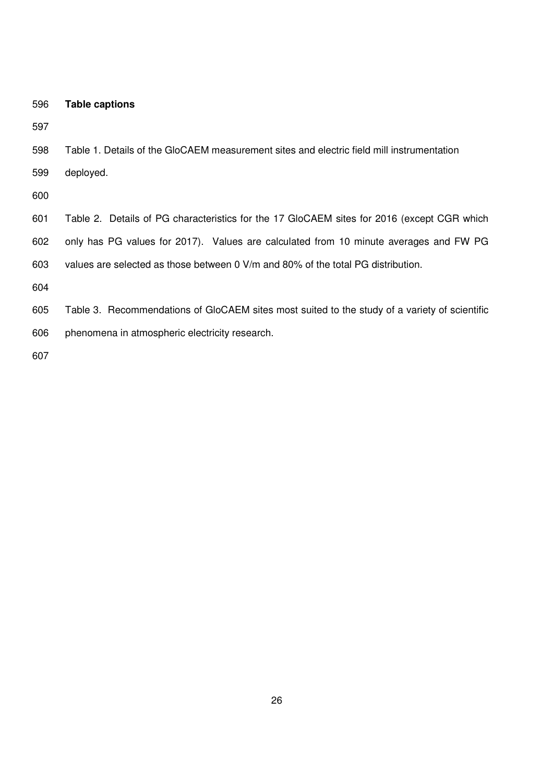| 596<br><b>Table captions</b> |
|------------------------------|
|------------------------------|

598 Table 1. Details of the GloCAEM measurement sites and electric field mill instrumentation

599 deployed.

600

601 Table 2. Details of PG characteristics for the 17 GloCAEM sites for 2016 (except CGR which 602 only has PG values for 2017). Values are calculated from 10 minute averages and FW PG 603 values are selected as those between 0 V/m and 80% of the total PG distribution.

604

- 605 Table 3. Recommendations of GloCAEM sites most suited to the study of a variety of scientific
- 606 phenomena in atmospheric electricity research.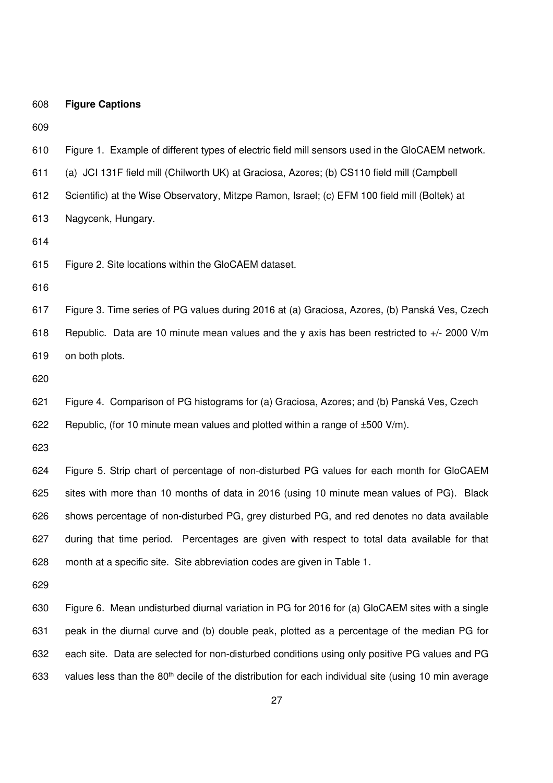| 608 | <b>Figure Captions</b>                                                                                          |
|-----|-----------------------------------------------------------------------------------------------------------------|
| 609 |                                                                                                                 |
| 610 | Figure 1. Example of different types of electric field mill sensors used in the GloCAEM network.                |
| 611 | (a) JCI 131F field mill (Chilworth UK) at Graciosa, Azores; (b) CS110 field mill (Campbell                      |
| 612 | Scientific) at the Wise Observatory, Mitzpe Ramon, Israel; (c) EFM 100 field mill (Boltek) at                   |
| 613 | Nagycenk, Hungary.                                                                                              |
| 614 |                                                                                                                 |
| 615 | Figure 2. Site locations within the GloCAEM dataset.                                                            |
| 616 |                                                                                                                 |
| 617 | Figure 3. Time series of PG values during 2016 at (a) Graciosa, Azores, (b) Panská Ves, Czech                   |
| 618 | Republic. Data are 10 minute mean values and the y axis has been restricted to +/- 2000 V/m                     |
| 619 | on both plots.                                                                                                  |
| 620 |                                                                                                                 |
| 621 | Figure 4. Comparison of PG histograms for (a) Graciosa, Azores; and (b) Panská Ves, Czech                       |
| 622 | Republic, (for 10 minute mean values and plotted within a range of $\pm 500$ V/m).                              |
| 623 |                                                                                                                 |
| 624 | Figure 5. Strip chart of percentage of non-disturbed PG values for each month for GloCAEM                       |
| 625 | sites with more than 10 months of data in 2016 (using 10 minute mean values of PG). Black                       |
| 626 | shows percentage of non-disturbed PG, grey disturbed PG, and red denotes no data available                      |
| 627 | during that time period. Percentages are given with respect to total data available for that                    |
| 628 | month at a specific site. Site abbreviation codes are given in Table 1.                                         |
| 629 |                                                                                                                 |
| 630 | Figure 6. Mean undisturbed diurnal variation in PG for 2016 for (a) GloCAEM sites with a single                 |
| 631 | peak in the diurnal curve and (b) double peak, plotted as a percentage of the median PG for                     |
| 632 | each site. Data are selected for non-disturbed conditions using only positive PG values and PG                  |
| 633 | values less than the 80 <sup>th</sup> decile of the distribution for each individual site (using 10 min average |
|     |                                                                                                                 |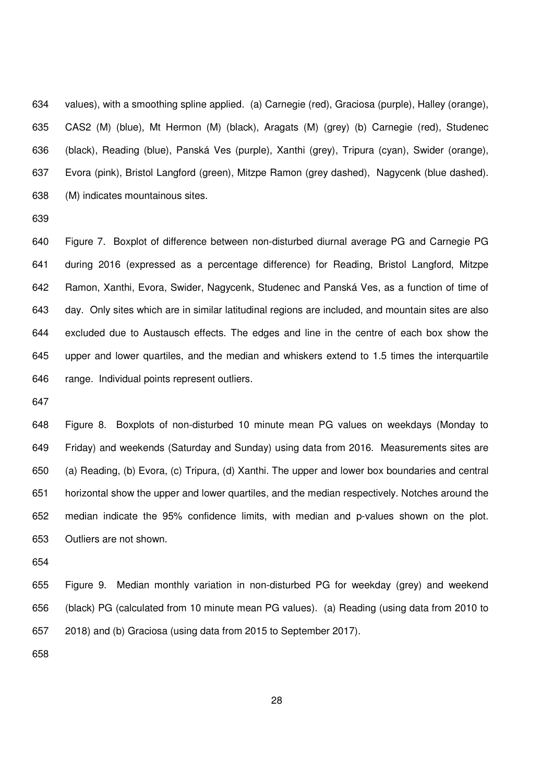634 values), with a smoothing spline applied. (a) Carnegie (red), Graciosa (purple), Halley (orange), 635 CAS2 (M) (blue), Mt Hermon (M) (black), Aragats (M) (grey) (b) Carnegie (red), Studenec 636 (black), Reading (blue), Panská Ves (purple), Xanthi (grey), Tripura (cyan), Swider (orange), 637 Evora (pink), Bristol Langford (green), Mitzpe Ramon (grey dashed), Nagycenk (blue dashed). 638 (M) indicates mountainous sites.

639

640 Figure 7. Boxplot of difference between non-disturbed diurnal average PG and Carnegie PG 641 during 2016 (expressed as a percentage difference) for Reading, Bristol Langford, Mitzpe 642 Ramon, Xanthi, Evora, Swider, Nagycenk, Studenec and Panská Ves, as a function of time of 643 day. Only sites which are in similar latitudinal regions are included, and mountain sites are also 644 excluded due to Austausch effects. The edges and line in the centre of each box show the 645 upper and lower quartiles, and the median and whiskers extend to 1.5 times the interquartile 646 range. Individual points represent outliers.

647

648 Figure 8. Boxplots of non-disturbed 10 minute mean PG values on weekdays (Monday to 649 Friday) and weekends (Saturday and Sunday) using data from 2016. Measurements sites are 650 (a) Reading, (b) Evora, (c) Tripura, (d) Xanthi. The upper and lower box boundaries and central 651 horizontal show the upper and lower quartiles, and the median respectively. Notches around the 652 median indicate the 95% confidence limits, with median and p-values shown on the plot. 653 Outliers are not shown.

654

655 Figure 9. Median monthly variation in non-disturbed PG for weekday (grey) and weekend 656 (black) PG (calculated from 10 minute mean PG values). (a) Reading (using data from 2010 to 657 2018) and (b) Graciosa (using data from 2015 to September 2017).

658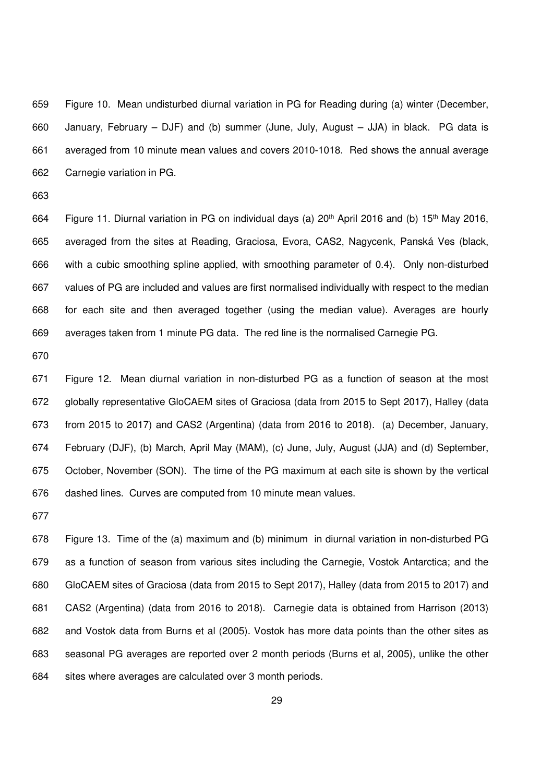659 Figure 10. Mean undisturbed diurnal variation in PG for Reading during (a) winter (December, 660 January, February – DJF) and (b) summer (June, July, August – JJA) in black. PG data is 661 averaged from 10 minute mean values and covers 2010-1018. Red shows the annual average 662 Carnegie variation in PG.

663

664 Figure 11. Diurnal variation in PG on individual days (a) 20<sup>th</sup> April 2016 and (b) 15<sup>th</sup> May 2016, 665 averaged from the sites at Reading, Graciosa, Evora, CAS2, Nagycenk, Panská Ves (black, 666 with a cubic smoothing spline applied, with smoothing parameter of 0.4). Only non-disturbed 667 values of PG are included and values are first normalised individually with respect to the median 668 for each site and then averaged together (using the median value). Averages are hourly 669 averages taken from 1 minute PG data. The red line is the normalised Carnegie PG.

670

671 Figure 12. Mean diurnal variation in non-disturbed PG as a function of season at the most 672 globally representative GloCAEM sites of Graciosa (data from 2015 to Sept 2017), Halley (data 673 from 2015 to 2017) and CAS2 (Argentina) (data from 2016 to 2018). (a) December, January, 674 February (DJF), (b) March, April May (MAM), (c) June, July, August (JJA) and (d) September, 675 October, November (SON). The time of the PG maximum at each site is shown by the vertical 676 dashed lines. Curves are computed from 10 minute mean values.

677

678 Figure 13. Time of the (a) maximum and (b) minimum in diurnal variation in non-disturbed PG 679 as a function of season from various sites including the Carnegie, Vostok Antarctica; and the 680 GloCAEM sites of Graciosa (data from 2015 to Sept 2017), Halley (data from 2015 to 2017) and 681 CAS2 (Argentina) (data from 2016 to 2018). Carnegie data is obtained from Harrison (2013) 682 and Vostok data from Burns et al (2005). Vostok has more data points than the other sites as 683 seasonal PG averages are reported over 2 month periods (Burns et al, 2005), unlike the other 684 sites where averages are calculated over 3 month periods.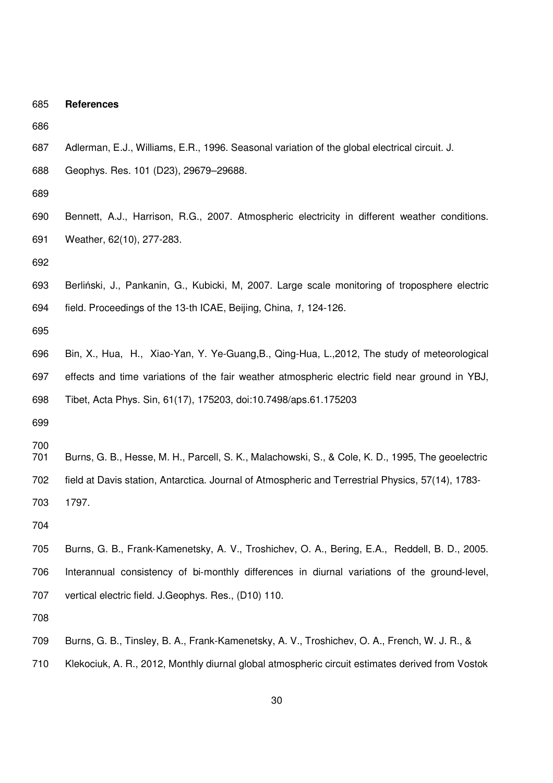- 685 **References**  686 687 Adlerman, E.J., Williams, E.R., 1996. Seasonal variation of the global electrical circuit. J. 688 Geophys. Res. 101 (D23), 29679–29688. 689 690 Bennett, A.J., Harrison, R.G., 2007. Atmospheric electricity in different weather conditions. 691 Weather, 62(10), 277-283. 692 693 Berliński, J., Pankanin, G., Kubicki, M, 2007. Large scale monitoring of troposphere electric 694 field. Proceedings of the 13-th ICAE, Beijing, China, 1, 124-126. 695 696 Bin, X., Hua, H., Xiao-Yan, Y. Ye-Guang,B., Qing-Hua, L.,2012, The study of meteorological 697 effects and time variations of the fair weather atmospheric electric field near ground in YBJ, 698 Tibet, Acta Phys. Sin, 61(17), 175203, doi:10.7498/aps.61.175203 699 700 701 Burns, G. B., Hesse, M. H., Parcell, S. K., Malachowski, S., & Cole, K. D., 1995, The geoelectric 702 field at Davis station, Antarctica. Journal of Atmospheric and Terrestrial Physics, 57(14), 1783- 703 1797. 704 705 Burns, G. B., Frank‐Kamenetsky, A. V., Troshichev, O. A., Bering, E.A., Reddell, B. D., 2005. 706 Interannual consistency of bi-monthly differences in diurnal variations of the ground-level, 707 vertical electric field. J.Geophys. Res., (D10) 110. 708 709 Burns, G. B., Tinsley, B. A., Frank-Kamenetsky, A. V., Troshichev, O. A., French, W. J. R., &
	- 710 Klekociuk, A. R., 2012, Monthly diurnal global atmospheric circuit estimates derived from Vostok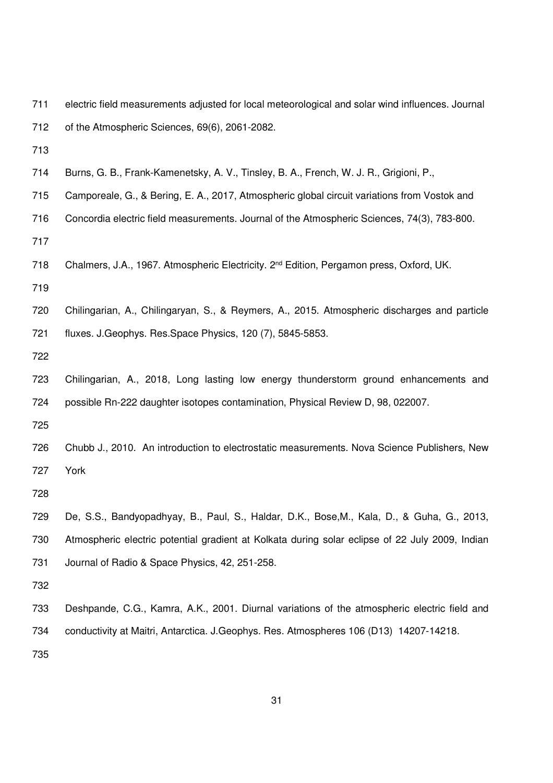| 711 | electric field measurements adjusted for local meteorological and solar wind influences. Journal |
|-----|--------------------------------------------------------------------------------------------------|
| 712 | of the Atmospheric Sciences, 69(6), 2061-2082.                                                   |

- 713
- 714 Burns, G. B., Frank-Kamenetsky, A. V., Tinsley, B. A., French, W. J. R., Grigioni, P.,
- 715 Camporeale, G., & Bering, E. A., 2017, Atmospheric global circuit variations from Vostok and
- 716 Concordia electric field measurements. Journal of the Atmospheric Sciences, 74(3), 783-800.
- 717
- 718 Chalmers, J.A., 1967. Atmospheric Electricity. 2<sup>nd</sup> Edition, Pergamon press, Oxford, UK.
- 719
- 720 Chilingarian, A., Chilingaryan, S., & Reymers, A., 2015. Atmospheric discharges and particle 721 fluxes. J.Geophys. Res.Space Physics, 120 (7), 5845-5853.
- 722
- 723 Chilingarian, A., 2018, Long lasting low energy thunderstorm ground enhancements and 724 possible Rn-222 daughter isotopes contamination, Physical Review D, 98, 022007.
- 725
- 726 Chubb J., 2010. An introduction to electrostatic measurements. Nova Science Publishers, New 727 York
- 728
- 729 De, S.S., Bandyopadhyay, B., Paul, S., Haldar, D.K., Bose,M., Kala, D., & Guha, G., 2013, 730 Atmospheric electric potential gradient at Kolkata during solar eclipse of 22 July 2009, Indian 731 Journal of Radio & Space Physics, 42, 251-258.
- 732
- 733 Deshpande, C.G., Kamra, A.K., 2001. Diurnal variations of the atmospheric electric field and 734 conductivity at Maitri, Antarctica. J.Geophys. Res. Atmospheres 106 (D13) 14207-14218.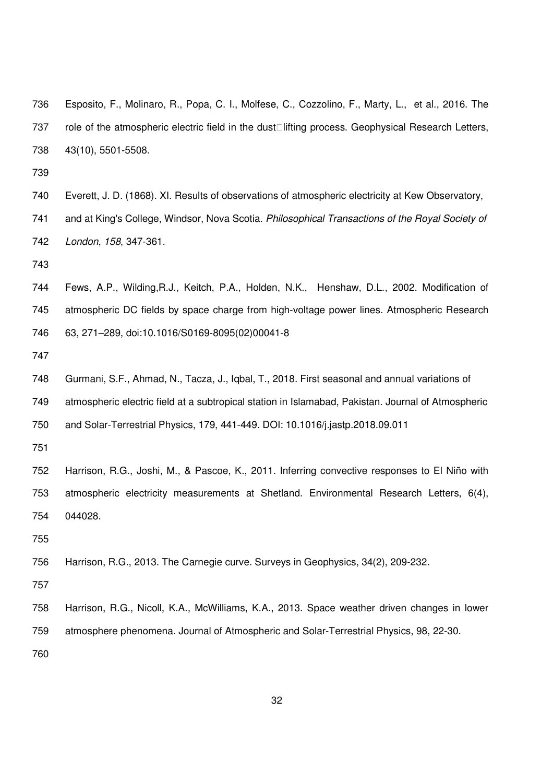- 736 Esposito, F., Molinaro, R., Popa, C. I., Molfese, C., Cozzolino, F., Marty, L., et al., 2016. The 737 role of the atmospheric electric field in the dust<sup>Ilitting</sup> process. Geophysical Research Letters, 738 43(10), 5501-5508.
- 739
- 740 Everett, J. D. (1868). XI. Results of observations of atmospheric electricity at Kew Observatory,
- 741 and at King's College, Windsor, Nova Scotia. Philosophical Transactions of the Royal Society of 742 London, 158, 347-361.
- 743
- 744 Fews, A.P., Wilding,R.J., Keitch, P.A., Holden, N.K., Henshaw, D.L., 2002. Modification of 745 atmospheric DC fields by space charge from high-voltage power lines. Atmospheric Research 746 63, 271–289, doi:10.1016/S0169-8095(02)00041-8
- 747
- 748 Gurmani, S.F., Ahmad, N., Tacza, J., Iqbal, T., 2018. First seasonal and annual variations of 749 atmospheric electric field at a subtropical station in Islamabad, Pakistan. Journal of Atmospheric 750 and Solar-Terrestrial Physics, 179, 441-449. DOI: 10.1016/j.jastp.2018.09.011
- 751
- 752 Harrison, R.G., Joshi, M., & Pascoe, K., 2011. Inferring convective responses to El Niño with 753 atmospheric electricity measurements at Shetland. Environmental Research Letters, 6(4), 754 044028.
- 755
- 756 Harrison, R.G., 2013. The Carnegie curve. Surveys in Geophysics, 34(2), 209-232.
- 757
- 758 Harrison, R.G., Nicoll, K.A., McWilliams, K.A., 2013. Space weather driven changes in lower 759 atmosphere phenomena. Journal of Atmospheric and Solar-Terrestrial Physics, 98, 22-30.
- 760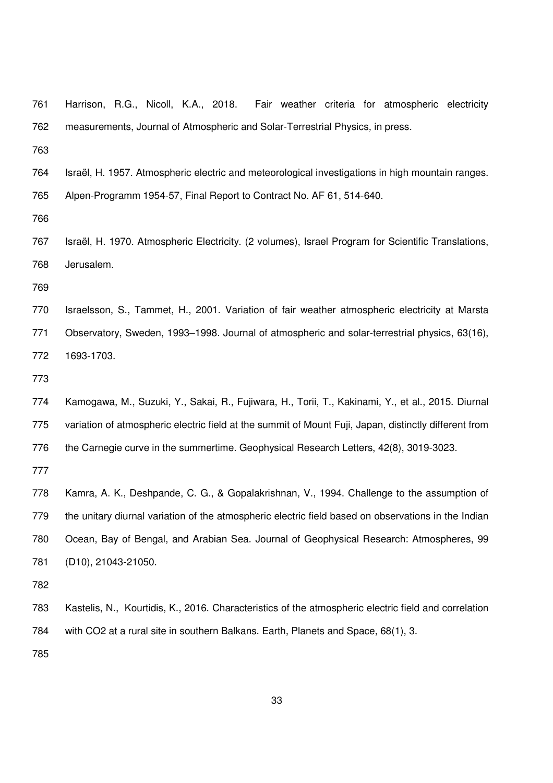| 761 | Harrison, R.G., Nicoll, K.A., 2018.<br>Fair weather criteria for atmospheric electricity              |  |  |  |  |  |
|-----|-------------------------------------------------------------------------------------------------------|--|--|--|--|--|
| 762 | measurements, Journal of Atmospheric and Solar-Terrestrial Physics, in press.                         |  |  |  |  |  |
| 763 |                                                                                                       |  |  |  |  |  |
| 764 | Israël, H. 1957. Atmospheric electric and meteorological investigations in high mountain ranges.      |  |  |  |  |  |
| 765 | Alpen-Programm 1954-57, Final Report to Contract No. AF 61, 514-640.                                  |  |  |  |  |  |
| 766 |                                                                                                       |  |  |  |  |  |
| 767 | Israël, H. 1970. Atmospheric Electricity. (2 volumes), Israel Program for Scientific Translations,    |  |  |  |  |  |
| 768 | Jerusalem.                                                                                            |  |  |  |  |  |
| 769 |                                                                                                       |  |  |  |  |  |
| 770 | Israelsson, S., Tammet, H., 2001. Variation of fair weather atmospheric electricity at Marsta         |  |  |  |  |  |
| 771 | Observatory, Sweden, 1993–1998. Journal of atmospheric and solar-terrestrial physics, 63(16),         |  |  |  |  |  |
| 772 | 1693-1703.                                                                                            |  |  |  |  |  |
| 773 |                                                                                                       |  |  |  |  |  |
| 774 | Kamogawa, M., Suzuki, Y., Sakai, R., Fujiwara, H., Torii, T., Kakinami, Y., et al., 2015. Diurnal     |  |  |  |  |  |
| 775 | variation of atmospheric electric field at the summit of Mount Fuji, Japan, distinctly different from |  |  |  |  |  |
| 776 | the Carnegie curve in the summertime. Geophysical Research Letters, 42(8), 3019-3023.                 |  |  |  |  |  |
| 777 |                                                                                                       |  |  |  |  |  |
| 778 | Kamra, A. K., Deshpande, C. G., & Gopalakrishnan, V., 1994. Challenge to the assumption of            |  |  |  |  |  |
| 779 | the unitary diurnal variation of the atmospheric electric field based on observations in the Indian   |  |  |  |  |  |
| 780 | Ocean, Bay of Bengal, and Arabian Sea. Journal of Geophysical Research: Atmospheres, 99               |  |  |  |  |  |
| 781 | (D10), 21043-21050.                                                                                   |  |  |  |  |  |
| 782 |                                                                                                       |  |  |  |  |  |
| 783 | Kastelis, N., Kourtidis, K., 2016. Characteristics of the atmospheric electric field and correlation  |  |  |  |  |  |
| 784 | with CO2 at a rural site in southern Balkans. Earth, Planets and Space, 68(1), 3.                     |  |  |  |  |  |
| 785 |                                                                                                       |  |  |  |  |  |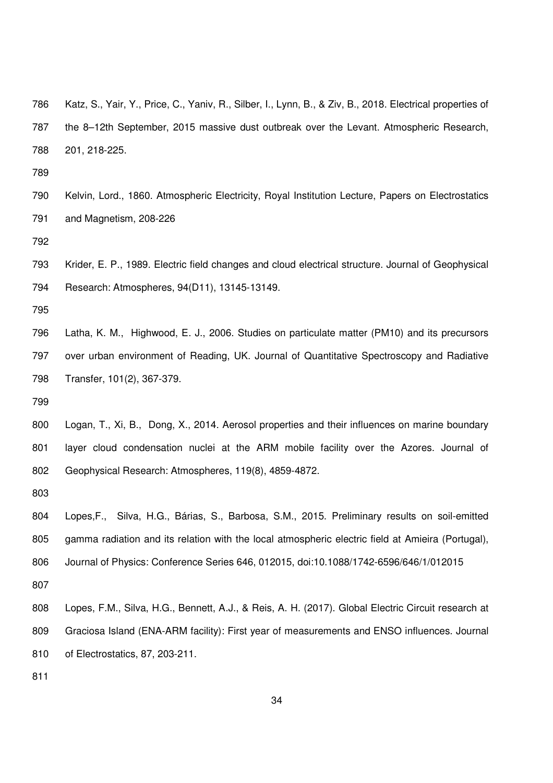786 Katz, S., Yair, Y., Price, C., Yaniv, R., Silber, I., Lynn, B., & Ziv, B., 2018. Electrical properties of 787 the 8–12th September, 2015 massive dust outbreak over the Levant. Atmospheric Research, 788 201, 218-225.

789

790 Kelvin, Lord., 1860. Atmospheric Electricity, Royal Institution Lecture, Papers on Electrostatics 791 and Magnetism, 208-226

792

793 Krider, E. P., 1989. Electric field changes and cloud electrical structure. Journal of Geophysical 794 Research: Atmospheres, 94(D11), 13145-13149.

795

796 Latha, K. M., Highwood, E. J., 2006. Studies on particulate matter (PM10) and its precursors 797 over urban environment of Reading, UK. Journal of Quantitative Spectroscopy and Radiative 798 Transfer, 101(2), 367-379.

799

800 Logan, T., Xi, B., Dong, X., 2014. Aerosol properties and their influences on marine boundary 801 layer cloud condensation nuclei at the ARM mobile facility over the Azores. Journal of 802 Geophysical Research: Atmospheres, 119(8), 4859-4872.

803

804 Lopes,F., Silva, H.G., Bárias, S., Barbosa, S.M., 2015. Preliminary results on soil-emitted 805 gamma radiation and its relation with the local atmospheric electric field at Amieira (Portugal), 806 Journal of Physics: Conference Series 646, 012015, doi:10.1088/1742-6596/646/1/012015

807

808 Lopes, F.M., Silva, H.G., Bennett, A.J., & Reis, A. H. (2017). Global Electric Circuit research at 809 Graciosa Island (ENA-ARM facility): First year of measurements and ENSO influences. Journal 810 of Electrostatics, 87, 203-211.

811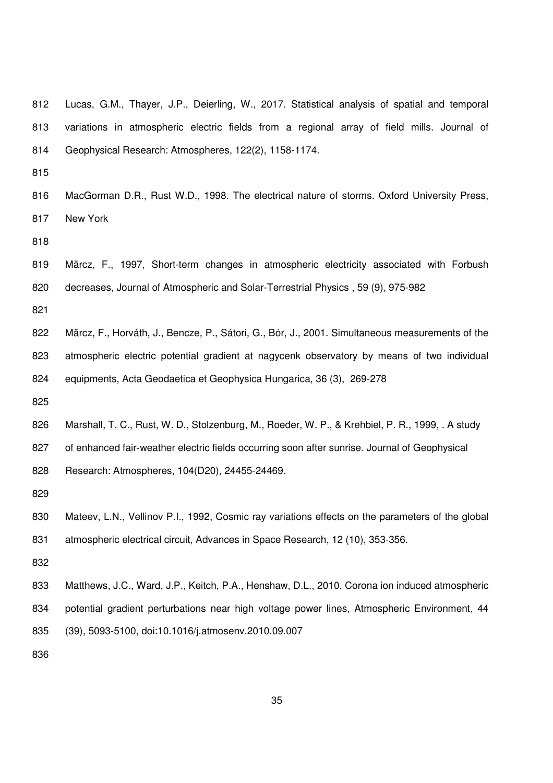| 812 | Lucas, G.M., Thayer, J.P., Deierling, W., 2017. Statistical analysis of spatial and temporal |
|-----|----------------------------------------------------------------------------------------------|
| 813 | variations in atmospheric electric fields from a regional array of field mills. Journal of   |
| 814 | Geophysical Research: Atmospheres, 122(2), 1158-1174.                                        |
| 815 |                                                                                              |

816 MacGorman D.R., Rust W.D., 1998. The electrical nature of storms. Oxford University Press, 817 New York

818

819 Märcz, F., 1997, Short-term changes in atmospheric electricity associated with Forbush 820 decreases, Journal of Atmospheric and Solar-Terrestrial Physics , 59 (9), 975-982

821

822 Märcz, F., Horváth, J., Bencze, P., Sátori, G., Bór, J., 2001. Simultaneous measurements of the 823 atmospheric electric potential gradient at nagycenk observatory by means of two individual 824 equipments, Acta Geodaetica et Geophysica Hungarica, 36 (3), 269-278

825

826 Marshall, T. C., Rust, W. D., Stolzenburg, M., Roeder, W. P., & Krehbiel, P. R., 1999, . A study 827 of enhanced fair-weather electric fields occurring soon after sunrise. Journal of Geophysical 828 Research: Atmospheres, 104(D20), 24455-24469.

829

- 830 Mateev, L.N., Vellinov P.I., 1992, Cosmic ray variations effects on the parameters of the global 831 atmospheric electrical circuit, Advances in Space Research, 12 (10), 353-356.
- 832
- 833 Matthews, J.C., Ward, J.P., Keitch, P.A., Henshaw, D.L., 2010. Corona ion induced atmospheric 834 potential gradient perturbations near high voltage power lines, Atmospheric Environment, 44 835 (39), 5093-5100, doi:10.1016/j.atmosenv.2010.09.007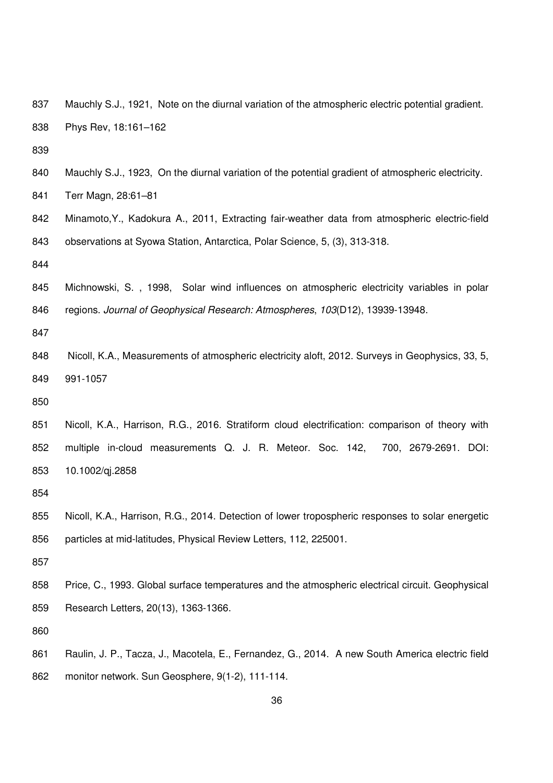- 837 Mauchly S.J., 1921, Note on the diurnal variation of the atmospheric electric potential gradient. 838 Phys Rev, 18:161–162
- 839
- 840 Mauchly S.J., 1923, On the diurnal variation of the potential gradient of atmospheric electricity.
- 841 Terr Magn, 28:61–81
- 842 Minamoto,Y., Kadokura A., 2011, Extracting fair-weather data from atmospheric electric-field 843 observations at Syowa Station, Antarctica, Polar Science, 5, (3), 313-318.
- 844
- 845 Michnowski, S. , 1998, Solar wind influences on atmospheric electricity variables in polar 846 regions. Journal of Geophysical Research: Atmospheres, 103(D12), 13939-13948.
- 847
- 848 Nicoll, K.A., Measurements of atmospheric electricity aloft, 2012. Surveys in Geophysics, 33, 5, 849 991-1057
- 850
- 851 Nicoll, K.A., Harrison, R.G., 2016. Stratiform cloud electrification: comparison of theory with 852 multiple in-cloud measurements Q. J. R. Meteor. Soc. 142, 700, 2679-2691. DOI: 853 10.1002/qj.2858

- 855 Nicoll, K.A., Harrison, R.G., 2014. Detection of lower tropospheric responses to solar energetic 856 particles at mid-latitudes, Physical Review Letters, 112, 225001.
- 857
- 858 Price, C., 1993. Global surface temperatures and the atmospheric electrical circuit. Geophysical 859 Research Letters, 20(13), 1363-1366.

860

861 Raulin, J. P., Tacza, J., Macotela, E., Fernandez, G., 2014. A new South America electric field 862 monitor network. Sun Geosphere, 9(1-2), 111-114.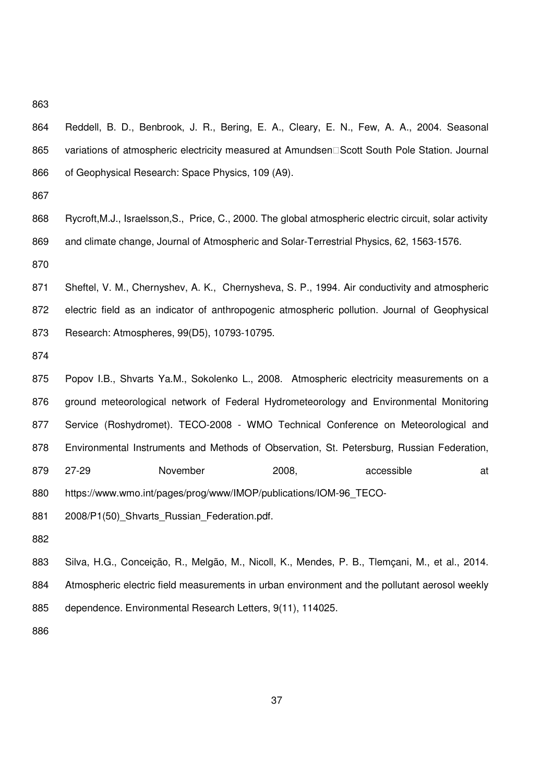- 864 Reddell, B. D., Benbrook, J. R., Bering, E. A., Cleary, E. N., Few, A. A., 2004. Seasonal 865 variations of atmospheric electricity measured at Amundsen
Scott South Pole Station. Journal 866 of Geophysical Research: Space Physics, 109 (A9).
- 867
- 868 Rycroft, M.J., Israelsson, S., Price, C., 2000. The global atmospheric electric circuit, solar activity 869 and climate change, Journal of Atmospheric and Solar-Terrestrial Physics, 62, 1563-1576.

870

- 871 Sheftel, V. M., Chernyshev, A. K., Chernysheva, S. P., 1994. Air conductivity and atmospheric 872 electric field as an indicator of anthropogenic atmospheric pollution. Journal of Geophysical 873 Research: Atmospheres, 99(D5), 10793-10795.
- 874
- 875 Popov I.B., Shvarts Ya.M., Sokolenko L., 2008. Atmospheric electricity measurements on a 876 ground meteorological network of Federal Hydrometeorology and Environmental Monitoring 877 Service (Roshydromet). TECO-2008 - WMO Technical Conference on Meteorological and 878 Environmental Instruments and Methods of Observation, St. Petersburg, Russian Federation, 879 27-29 November 2008, accessible at 880 https://www.wmo.int/pages/prog/www/IMOP/publications/IOM-96\_TECO-881 2008/P1(50)\_Shvarts\_Russian\_Federation.pdf.
- 882

883 Silva, H.G., Conceição, R., Melgão, M., Nicoll, K., Mendes, P. B., Tlemçani, M., et al., 2014. 884 Atmospheric electric field measurements in urban environment and the pollutant aerosol weekly 885 dependence. Environmental Research Letters, 9(11), 114025.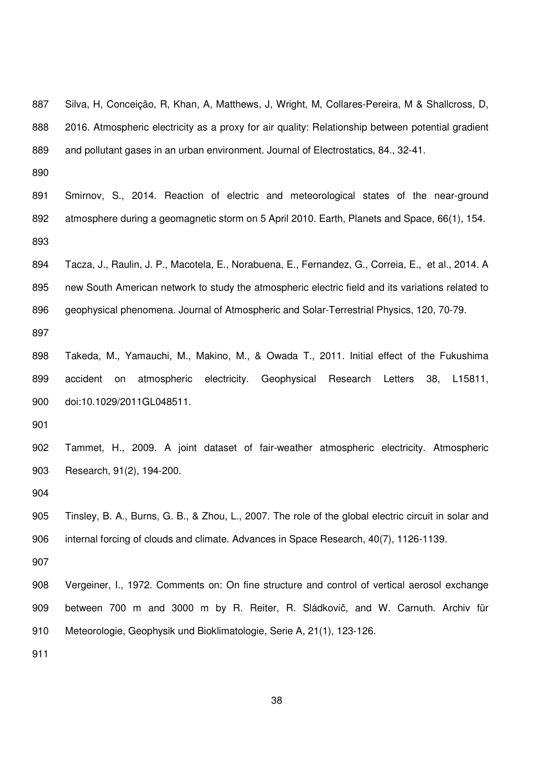887 Silva, H, Conceição, R, Khan, A, Matthews, J, Wright, M, Collares-Pereira, M & Shallcross, D, 888 2016. Atmospheric electricity as a proxy for air quality: Relationship between potential gradient 889 and pollutant gases in an urban environment. Journal of Electrostatics, 84., 32-41.

890

891 Smirnov, S., 2014. Reaction of electric and meteorological states of the near-ground 892 atmosphere during a geomagnetic storm on 5 April 2010. Earth, Planets and Space, 66(1), 154. 893

894 Tacza, J., Raulin, J. P., Macotela, E., Norabuena, E., Fernandez, G., Correia, E., et al., 2014. A 895 new South American network to study the atmospheric electric field and its variations related to 896 geophysical phenomena. Journal of Atmospheric and Solar-Terrestrial Physics, 120, 70-79.

897

898 Takeda, M., Yamauchi, M., Makino, M., & Owada T., 2011. Initial effect of the Fukushima 899 accident on atmospheric electricity. Geophysical Research Letters 38, L15811, 900 doi:10.1029/2011GL048511.

901

902 Tammet, H., 2009. A joint dataset of fair-weather atmospheric electricity. Atmospheric 903 Research, 91(2), 194-200.

904

905 Tinsley, B. A., Burns, G. B., & Zhou, L., 2007. The role of the global electric circuit in solar and 906 internal forcing of clouds and climate. Advances in Space Research, 40(7), 1126-1139.

907

908 Vergeiner, I., 1972. Comments on: On fine structure and control of vertical aerosol exchange 909 between 700 m and 3000 m by R. Reiter, R. Sládkovič, and W. Carnuth. Archiv für 910 Meteorologie, Geophysik und Bioklimatologie, Serie A, 21(1), 123-126.

911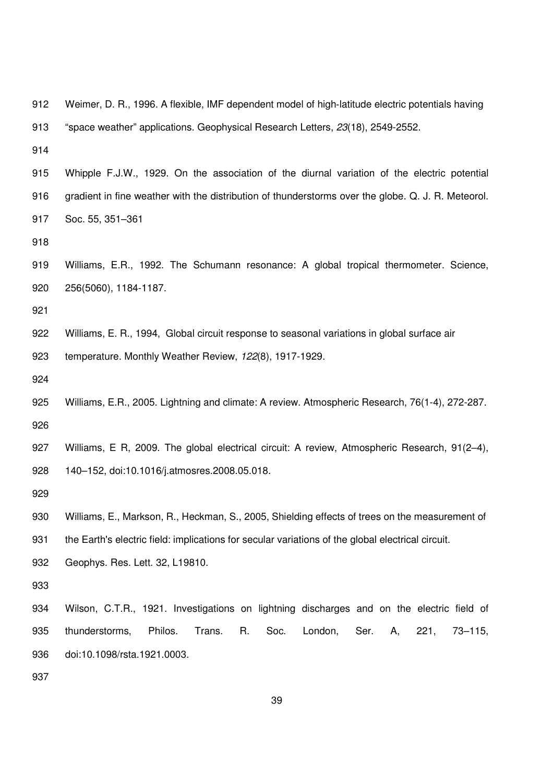| 912 | Weimer, D. R., 1996. A flexible, IMF dependent model of high-latitude electric potentials having   |  |  |  |  |  |
|-----|----------------------------------------------------------------------------------------------------|--|--|--|--|--|
| 913 | "space weather" applications. Geophysical Research Letters, 23(18), 2549-2552.                     |  |  |  |  |  |
| 914 |                                                                                                    |  |  |  |  |  |
| 915 | Whipple F.J.W., 1929. On the association of the diurnal variation of the electric potential        |  |  |  |  |  |
| 916 | gradient in fine weather with the distribution of thunderstorms over the globe. Q. J. R. Meteorol. |  |  |  |  |  |
| 917 | Soc. 55, 351-361                                                                                   |  |  |  |  |  |
| 918 |                                                                                                    |  |  |  |  |  |
| 919 | Williams, E.R., 1992. The Schumann resonance: A global tropical thermometer. Science,              |  |  |  |  |  |
| 920 | 256(5060), 1184-1187.                                                                              |  |  |  |  |  |
| 921 |                                                                                                    |  |  |  |  |  |
| 922 | Williams, E. R., 1994, Global circuit response to seasonal variations in global surface air        |  |  |  |  |  |
| 923 | temperature. Monthly Weather Review, 122(8), 1917-1929.                                            |  |  |  |  |  |
| 924 |                                                                                                    |  |  |  |  |  |
| 925 | Williams, E.R., 2005. Lightning and climate: A review. Atmospheric Research, 76(1-4), 272-287.     |  |  |  |  |  |
| 926 |                                                                                                    |  |  |  |  |  |
| 927 | Williams, E R, 2009. The global electrical circuit: A review, Atmospheric Research, 91(2-4),       |  |  |  |  |  |
| 928 | 140-152, doi:10.1016/j.atmosres.2008.05.018.                                                       |  |  |  |  |  |
| 929 |                                                                                                    |  |  |  |  |  |
| 930 | Williams, E., Markson, R., Heckman, S., 2005, Shielding effects of trees on the measurement of     |  |  |  |  |  |
| 931 | the Earth's electric field: implications for secular variations of the global electrical circuit.  |  |  |  |  |  |
| 932 | Geophys. Res. Lett. 32, L19810.                                                                    |  |  |  |  |  |
| 933 |                                                                                                    |  |  |  |  |  |
|     |                                                                                                    |  |  |  |  |  |
| 934 | Wilson, C.T.R., 1921. Investigations on lightning discharges and on the electric field of          |  |  |  |  |  |
| 935 | thunderstorms,<br>Philos.<br>Trans.<br>R.<br>Soc.<br>London,<br>Ser.<br>221,<br>$73 - 115$ ,<br>Α, |  |  |  |  |  |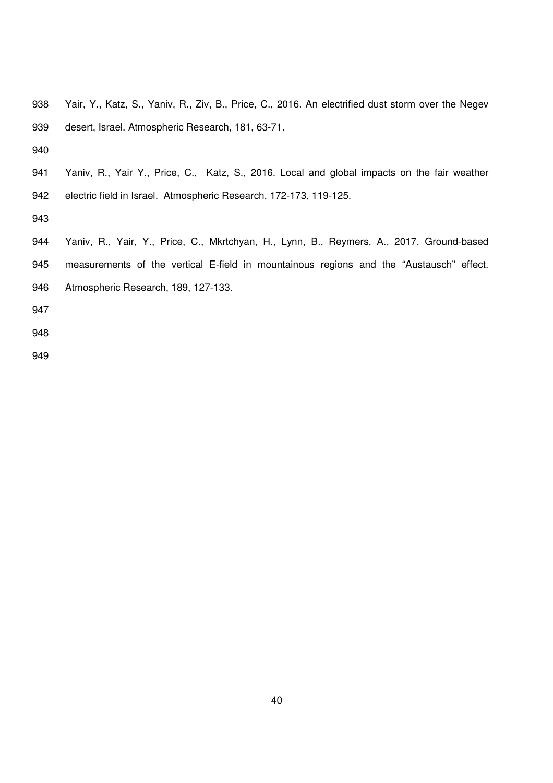| 938 | Yair, Y., Katz, S., Yaniv, R., Ziv, B., Price, C., 2016. An electrified dust storm over the Negev |
|-----|---------------------------------------------------------------------------------------------------|
| 939 | desert, Israel. Atmospheric Research, 181, 63-71.                                                 |
| 940 |                                                                                                   |
| 941 | Yaniv, R., Yair Y., Price, C., Katz, S., 2016. Local and global impacts on the fair weather       |
| 942 | electric field in Israel. Atmospheric Research, 172-173, 119-125.                                 |
| 943 |                                                                                                   |
| 944 | Yaniv, R., Yair, Y., Price, C., Mkrtchyan, H., Lynn, B., Reymers, A., 2017. Ground-based          |
| 945 | measurements of the vertical E-field in mountainous regions and the "Austausch" effect.           |
| 946 | Atmospheric Research, 189, 127-133.                                                               |
| 947 |                                                                                                   |
| 948 |                                                                                                   |
| 949 |                                                                                                   |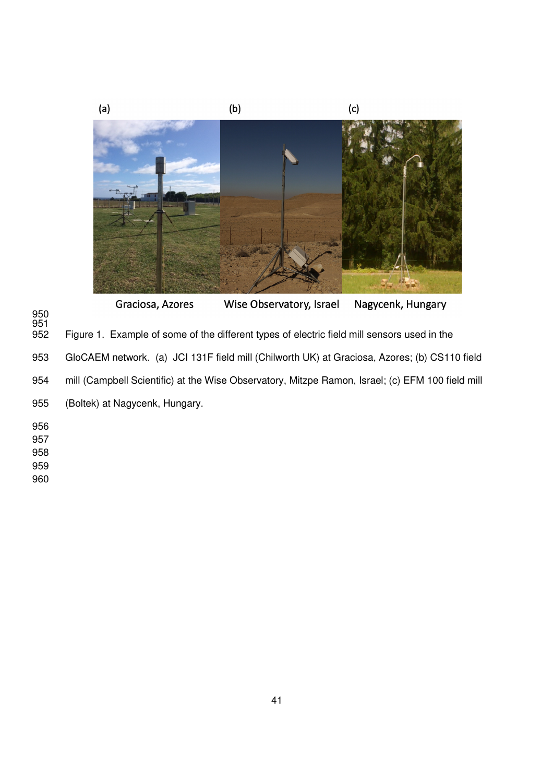

Wise Observatory, Israel Nagycenk, Hungary Graciosa, Azores 950 951 Figure 1. Example of some of the different types of electric field mill sensors used in the 953 GloCAEM network. (a) JCI 131F field mill (Chilworth UK) at Graciosa, Azores; (b) CS110 field 954 mill (Campbell Scientific) at the Wise Observatory, Mitzpe Ramon, Israel; (c) EFM 100 field mill 955 (Boltek) at Nagycenk, Hungary. 956 957 958 959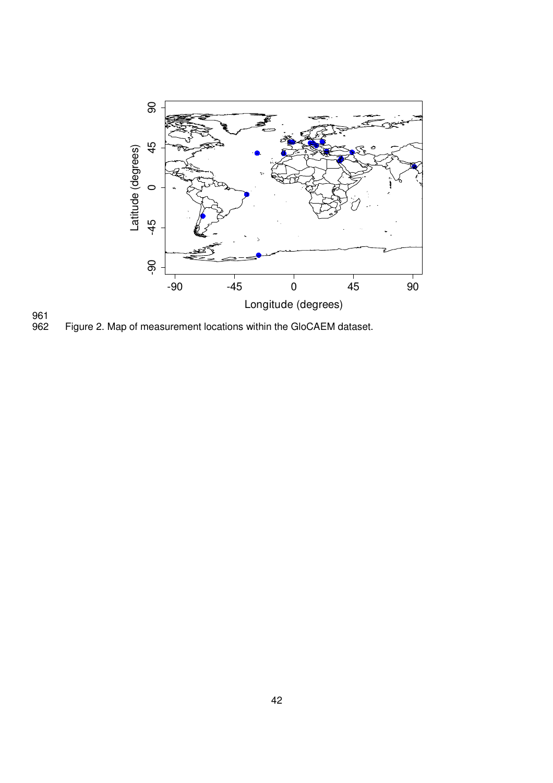

961<br>962 Figure 2. Map of measurement locations within the GloCAEM dataset.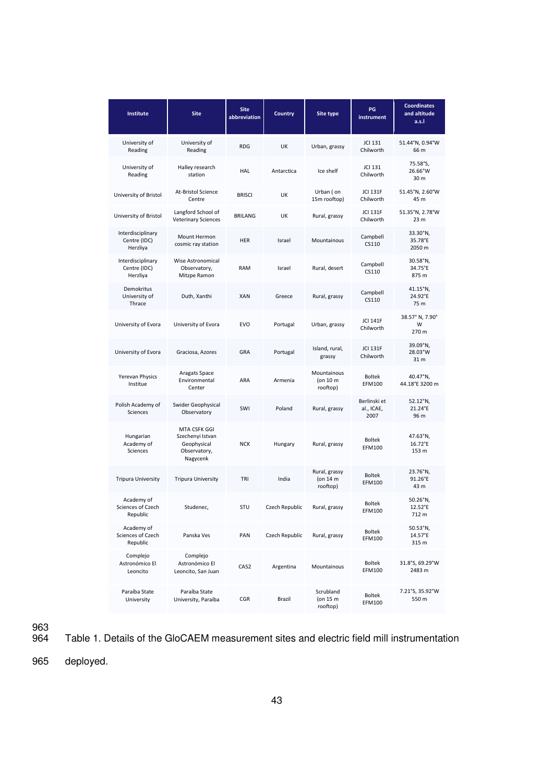| <b>Institute</b>                              | <b>Site</b>                                                                 | <b>Site</b><br>abbreviation | Country        | <b>Site type</b>                            | PG<br><i>instrument</i>            | <b>Coordinates</b><br>and altitude<br>a.s.l |
|-----------------------------------------------|-----------------------------------------------------------------------------|-----------------------------|----------------|---------------------------------------------|------------------------------------|---------------------------------------------|
| University of<br>Reading                      | University of<br>Reading                                                    | <b>RDG</b>                  | UK             | Urban, grassy                               | JCI 131<br>Chilworth               | 51.44°N, 0.94°W<br>66 m                     |
| University of<br>Reading                      | Halley research<br>station                                                  | HAL                         | Antarctica     | Ice shelf                                   | JCI 131<br>Chilworth               | 75.58°S,<br>26.66°W<br>30 m                 |
| University of Bristol                         | At-Bristol Science<br>Centre                                                | <b>BRISCI</b>               | UK             | Urban (on<br>15m rooftop)                   | <b>JCI 131F</b><br>Chilworth       | 51.45°N, 2.60°W<br>45 m                     |
| University of Bristol                         | Langford School of<br><b>Veterinary Sciences</b>                            | <b>BRILANG</b>              | UK             | Rural, grassy                               | <b>JCI 131F</b><br>Chilworth       | 51.35°N, 2.78°W<br>23 <sub>m</sub>          |
| Interdisciplinary<br>Centre (IDC)<br>Herzliya | Mount Hermon<br>cosmic ray station                                          | <b>HER</b>                  | Israel         | Mountainous                                 | Campbell<br>CS110                  | 33.30°N,<br>35.78°E<br>2050 m               |
| Interdisciplinary<br>Centre (IDC)<br>Herzliya | Wise Astronomical<br>Observatory,<br>Mitzpe Ramon                           | <b>RAM</b>                  | Israel         | Rural, desert                               | Campbell<br>CS110                  | 30.58°N,<br>34.75°E<br>875 m                |
| <b>Demokritus</b><br>University of<br>Thrace  | Duth, Xanthi                                                                | <b>XAN</b>                  | Greece         | Rural, grassy                               | Campbell<br>CS110                  | 41.15°N,<br>24.92°E<br>75 m                 |
| University of Evora                           | University of Evora                                                         | <b>EVO</b>                  | Portugal       | Urban, grassy                               | <b>JCI 141F</b><br>Chilworth       | 38.57° N, 7.90°<br>W<br>270 m               |
| University of Evora                           | Graciosa, Azores                                                            | GRA                         | Portugal       | Island, rural,<br>grassy                    | <b>JCI 131F</b><br>Chilworth       | 39.09°N,<br>28.03°W<br>31 m                 |
| Yerevan Physics<br>Institue                   | Aragats Space<br>Environmental<br>Center                                    | ARA                         | Armenia        | Mountainous<br>(on 10 m<br>rooftop)         | <b>Boltek</b><br><b>EFM100</b>     | 40.47°N,<br>44.18°E 3200 m                  |
| Polish Academy of<br>Sciences                 | Swider Geophysical<br>Observatory                                           | SWI                         | Poland         | Rural, grassy                               | Berlinski et<br>al., ICAE,<br>2007 | 52.12°N,<br>21.24°E<br>96 m                 |
| Hungarian<br>Academy of<br>Sciences           | MTA CSFK GGI<br>Szechenyi Istvan<br>Geophysical<br>Observatory,<br>Nagycenk | <b>NCK</b>                  | Hungary        | Rural, grassy                               | <b>Boltek</b><br><b>EFM100</b>     | 47.63°N,<br>$16.72^{\circ}E$<br>153 m       |
| <b>Tripura University</b>                     | <b>Tripura University</b>                                                   | TRI                         | India          | Rural, grassy<br>(on 14 m<br>rooftop)       | <b>Boltek</b><br>EFM100            | 23.76°N,<br>91.26°E<br>43 m                 |
| Academy of<br>Sciences of Czech<br>Republic   | Studenec,                                                                   | STU                         | Czech Republic | Rural, grassy                               | <b>Boltek</b><br><b>EFM100</b>     | 50.26°N,<br>12.52°E<br>712 m                |
| Academy of<br>Sciences of Czech<br>Republic   | Panska Ves                                                                  | PAN                         | Czech Republic | Rural, grassy                               | <b>Boltek</b><br><b>EFM100</b>     | 50.53°N,<br>14.57°E<br>315 m                |
| Complejo<br>Astronómico El<br>Leoncito        | Complejo<br>Astronómico El<br>Leoncito, San Juan                            | CAS <sub>2</sub>            | Argentina      | Mountainous                                 | <b>Boltek</b><br>EFM100            | 31.8°S, 69.29°W<br>2483 m                   |
| Paraíba State<br>University                   | Paraíba State<br>University, Paraíba                                        | <b>CGR</b>                  | Brazil         | Scrubland<br>(on $15 \text{ m}$<br>rooftop) | <b>Boltek</b><br>EFM100            | 7.21°S, 35.92°W<br>550 m                    |

963<br>964 Table 1. Details of the GloCAEM measurement sites and electric field mill instrumentation

965 deployed.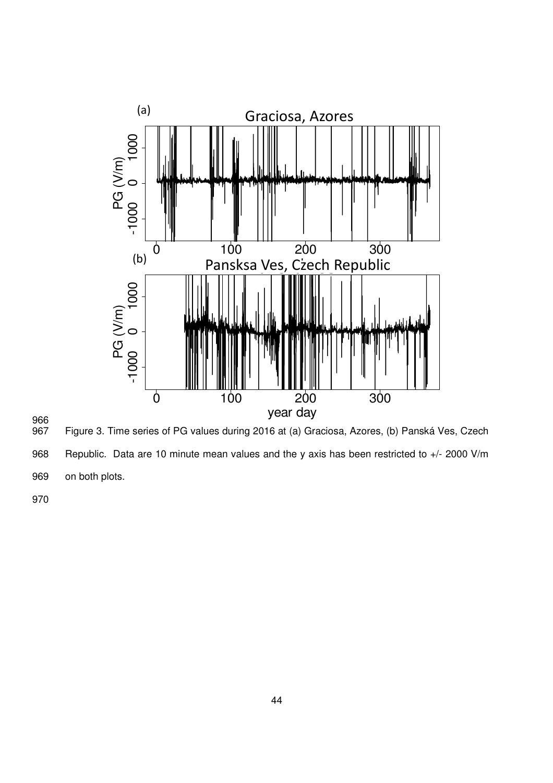



967 Figure 3. Time series of PG values during 2016 at (a) Graciosa, Azores, (b) Panská Ves, Czech

968 Republic. Data are 10 minute mean values and the y axis has been restricted to +/- 2000 V/m

969 on both plots.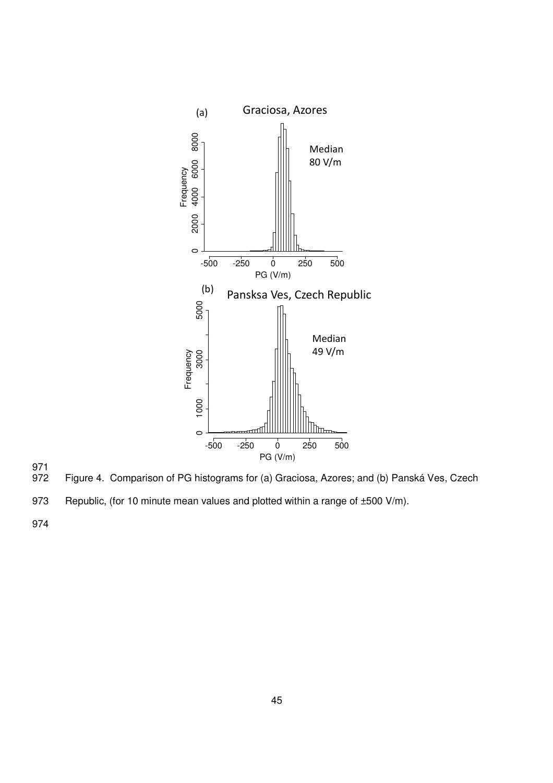



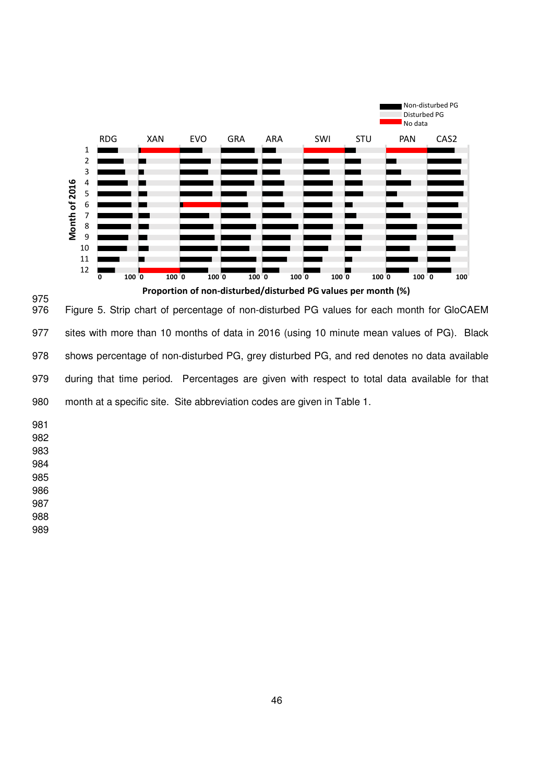

975<br>976 Figure 5. Strip chart of percentage of non-disturbed PG values for each month for GloCAEM 977 sites with more than 10 months of data in 2016 (using 10 minute mean values of PG). Black 978 shows percentage of non-disturbed PG, grey disturbed PG, and red denotes no data available 979 during that time period. Percentages are given with respect to total data available for that 980 month at a specific site. Site abbreviation codes are given in Table 1.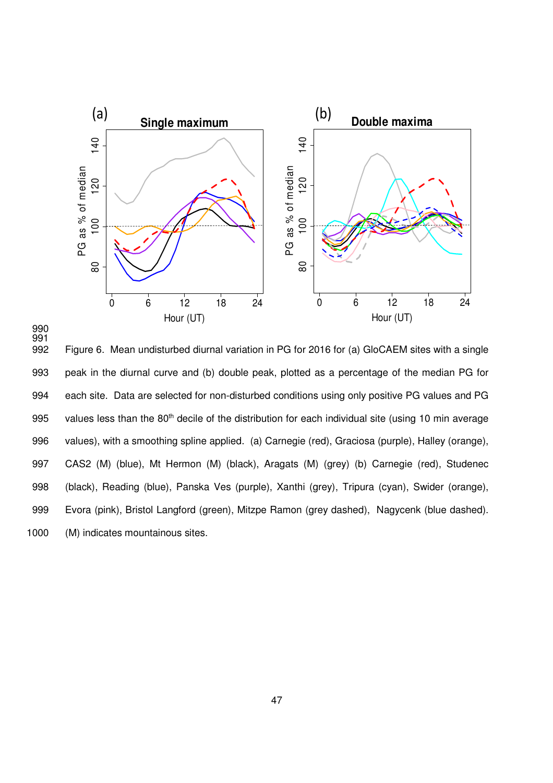



992 Figure 6. Mean undisturbed diurnal variation in PG for 2016 for (a) GloCAEM sites with a single 993 peak in the diurnal curve and (b) double peak, plotted as a percentage of the median PG for 994 each site. Data are selected for non-disturbed conditions using only positive PG values and PG 995 values less than the 80<sup>th</sup> decile of the distribution for each individual site (using 10 min average 996 values), with a smoothing spline applied. (a) Carnegie (red), Graciosa (purple), Halley (orange), 997 CAS2 (M) (blue), Mt Hermon (M) (black), Aragats (M) (grey) (b) Carnegie (red), Studenec 998 (black), Reading (blue), Panska Ves (purple), Xanthi (grey), Tripura (cyan), Swider (orange), 999 Evora (pink), Bristol Langford (green), Mitzpe Ramon (grey dashed), Nagycenk (blue dashed). 1000 (M) indicates mountainous sites.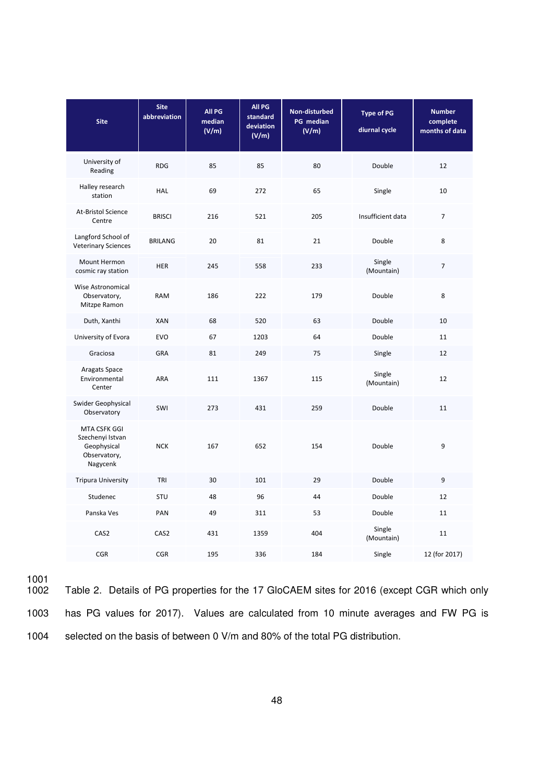| <b>Site</b>                                                                        | <b>Site</b><br>abbreviation | All PG<br>median<br>(V/m) | All PG<br>standard<br>deviation<br>(V/m) | Non-disturbed<br>PG median<br>(V/m) | <b>Type of PG</b><br>diurnal cycle | <b>Number</b><br>complete<br>months of data |
|------------------------------------------------------------------------------------|-----------------------------|---------------------------|------------------------------------------|-------------------------------------|------------------------------------|---------------------------------------------|
| University of<br>Reading                                                           | <b>RDG</b>                  | 85                        | 85                                       | 80                                  | Double                             | 12                                          |
| Halley research<br>station                                                         | <b>HAL</b>                  | 69                        | 272                                      | 65                                  | Single                             | 10                                          |
| At-Bristol Science<br>Centre                                                       | <b>BRISCI</b>               | 216                       | 521                                      | 205                                 | Insufficient data                  | $\overline{7}$                              |
| Langford School of<br><b>Veterinary Sciences</b>                                   | <b>BRILANG</b>              | 20                        | 81                                       | 21                                  | Double                             | 8                                           |
| Mount Hermon<br>cosmic ray station                                                 | <b>HER</b>                  | 245                       | 558                                      | 233                                 | Single<br>(Mountain)               | $\overline{7}$                              |
| Wise Astronomical<br>Observatory,<br>Mitzpe Ramon                                  | <b>RAM</b>                  | 186                       | 222                                      | 179                                 | Double                             | 8                                           |
| Duth, Xanthi                                                                       | <b>XAN</b>                  | 68                        | 520                                      | 63                                  | Double                             | 10                                          |
| University of Evora                                                                | <b>EVO</b>                  | 67                        | 1203                                     | 64                                  | Double                             | 11                                          |
| Graciosa                                                                           | GRA                         | 81                        | 249                                      | 75                                  | Single                             | 12                                          |
| Aragats Space<br>Environmental<br>Center                                           | ARA                         | 111                       | 1367                                     | 115                                 | Single<br>(Mountain)               | 12                                          |
| Swider Geophysical<br>Observatory                                                  | SWI                         | 273                       | 431                                      | 259                                 | Double                             | 11                                          |
| <b>MTA CSFK GGI</b><br>Szechenyi Istvan<br>Geophysical<br>Observatory,<br>Nagycenk | <b>NCK</b>                  | 167                       | 652                                      | 154                                 | Double                             | 9                                           |
| <b>Tripura University</b>                                                          | TRI                         | 30                        | 101                                      | 29                                  | Double                             | 9                                           |
| Studenec                                                                           | STU                         | 48                        | 96                                       | 44                                  | Double                             | 12                                          |
| Panska Ves                                                                         | PAN                         | 49                        | 311                                      | 53                                  | Double                             | 11                                          |
| CAS2                                                                               | CAS2                        | 431                       | 1359                                     | 404                                 | Single<br>(Mountain)               | 11                                          |
| <b>CGR</b>                                                                         | CGR                         | 195                       | 336                                      | 184                                 | Single                             | 12 (for 2017)                               |

1001 Table 2. Details of PG properties for the 17 GloCAEM sites for 2016 (except CGR which only 1003 has PG values for 2017). Values are calculated from 10 minute averages and FW PG is 1004 selected on the basis of between 0 V/m and 80% of the total PG distribution.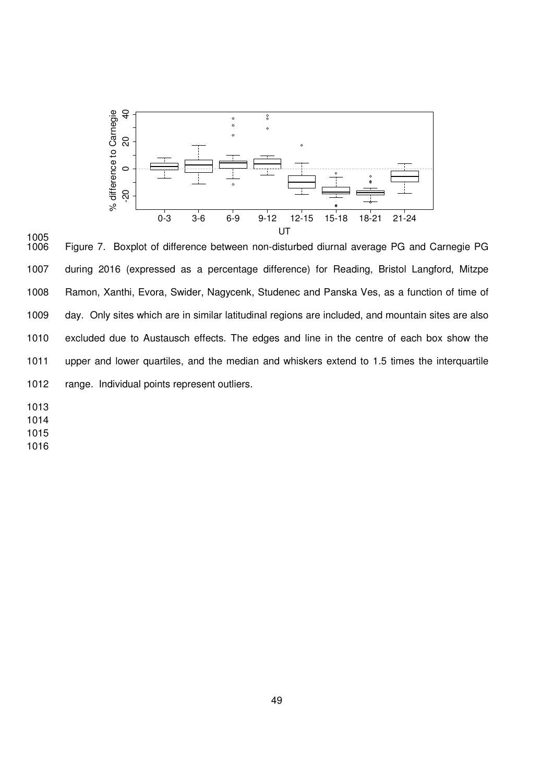



Figure 7. Boxplot of difference between non-disturbed diurnal average PG and Carnegie PG 1007 during 2016 (expressed as a percentage difference) for Reading, Bristol Langford, Mitzpe 1008 Ramon, Xanthi, Evora, Swider, Nagycenk, Studenec and Panska Ves, as a function of time of 1009 day. Only sites which are in similar latitudinal regions are included, and mountain sites are also 1010 excluded due to Austausch effects. The edges and line in the centre of each box show the 1011 upper and lower quartiles, and the median and whiskers extend to 1.5 times the interquartile 1012 range. Individual points represent outliers.

1013

1014

1015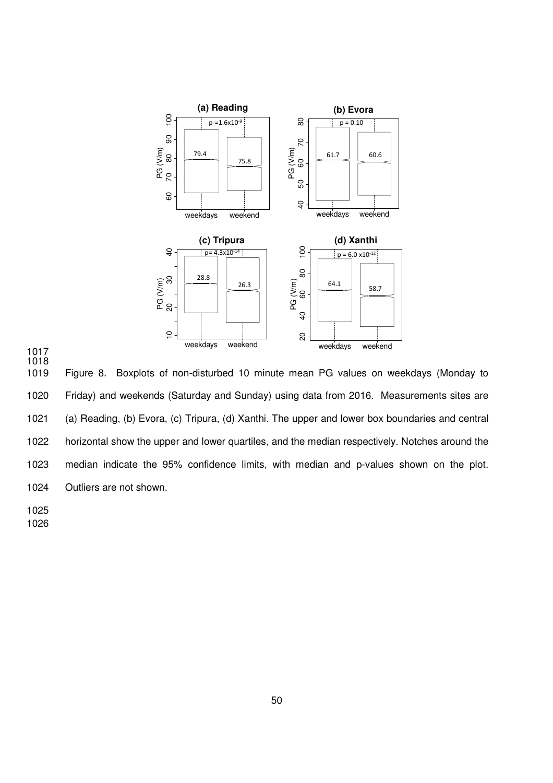



1019 Figure 8. Boxplots of non-disturbed 10 minute mean PG values on weekdays (Monday to 1020 Friday) and weekends (Saturday and Sunday) using data from 2016. Measurements sites are 1021 (a) Reading, (b) Evora, (c) Tripura, (d) Xanthi. The upper and lower box boundaries and central 1022 horizontal show the upper and lower quartiles, and the median respectively. Notches around the 1023 median indicate the 95% confidence limits, with median and p-values shown on the plot. 1024 Outliers are not shown.

1025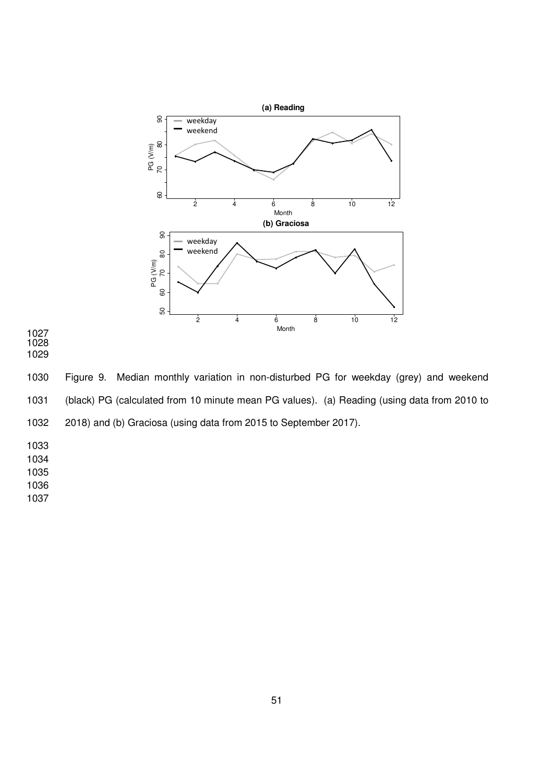

- 1027 1028
- 1029

1030 Figure 9. Median monthly variation in non-disturbed PG for weekday (grey) and weekend 1031 (black) PG (calculated from 10 minute mean PG values). (a) Reading (using data from 2010 to 1032 2018) and (b) Graciosa (using data from 2015 to September 2017).

1034

1035

1036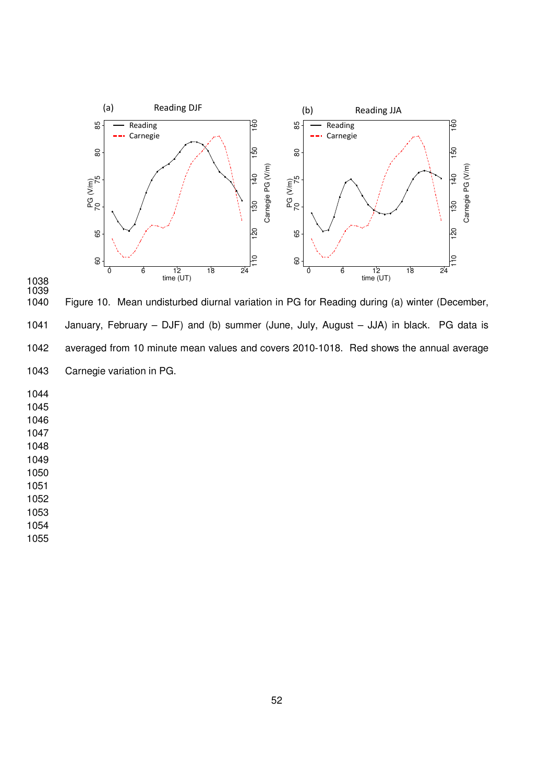



Figure 10. Mean undisturbed diurnal variation in PG for Reading during (a) winter (December, 1041 January, February – DJF) and (b) summer (June, July, August – JJA) in black. PG data is 1042 averaged from 10 minute mean values and covers 2010-1018. Red shows the annual average 1043 Carnegie variation in PG.

1050

1051

1052

1053

1054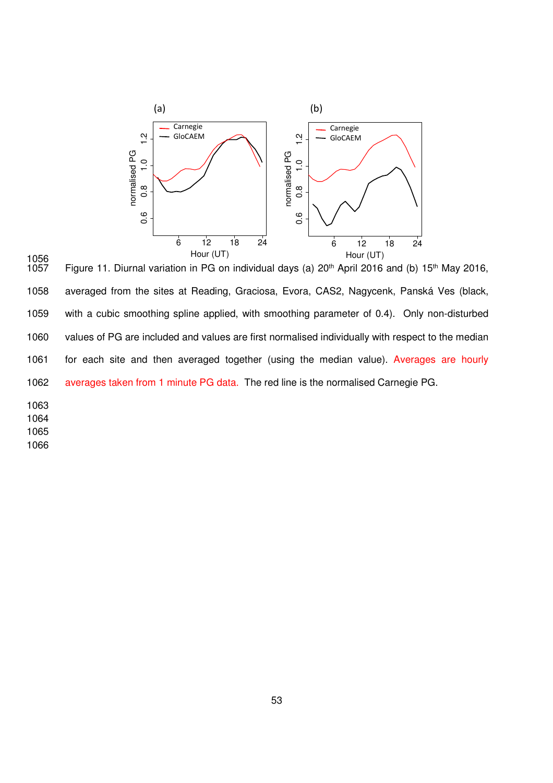

1056 Figure 11. Diurnal variation in PG on individual days (a) 20<sup>th</sup> April 2016 and (b) 15<sup>th</sup> May 2016, 1058 averaged from the sites at Reading, Graciosa, Evora, CAS2, Nagycenk, Panská Ves (black, 1059 with a cubic smoothing spline applied, with smoothing parameter of 0.4). Only non-disturbed 1060 values of PG are included and values are first normalised individually with respect to the median 1061 for each site and then averaged together (using the median value). Averages are hourly 1062 averages taken from 1 minute PG data. The red line is the normalised Carnegie PG.

1064

1065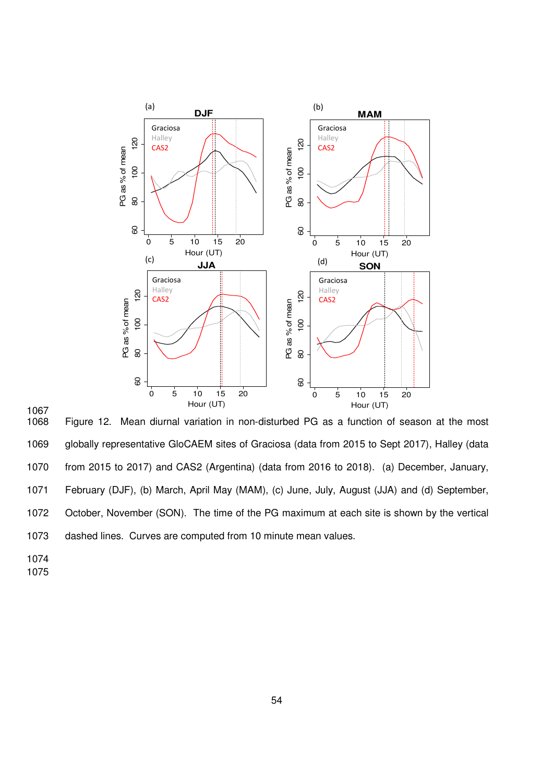

1067 Figure 12. Mean diurnal variation in non-disturbed PG as a function of season at the most 1069 globally representative GloCAEM sites of Graciosa (data from 2015 to Sept 2017), Halley (data 1070 from 2015 to 2017) and CAS2 (Argentina) (data from 2016 to 2018). (a) December, January, 1071 February (DJF), (b) March, April May (MAM), (c) June, July, August (JJA) and (d) September, 1072 October, November (SON). The time of the PG maximum at each site is shown by the vertical 1073 dashed lines. Curves are computed from 10 minute mean values.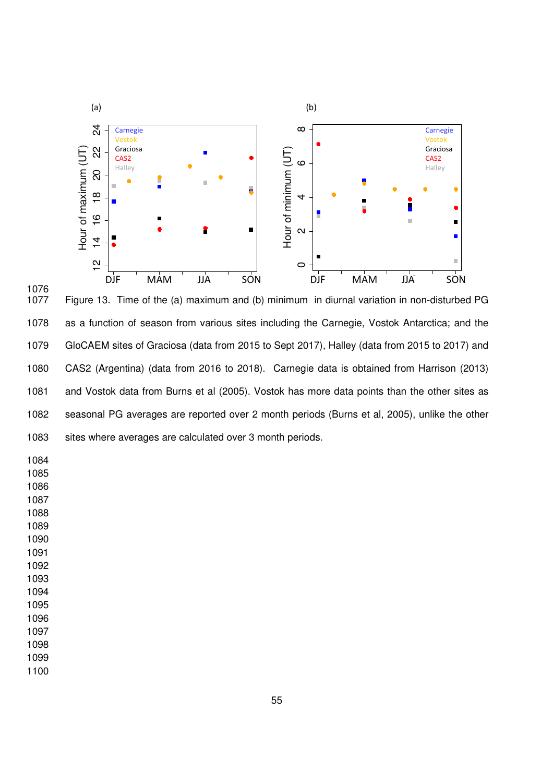

1076 Figure 13. Time of the (a) maximum and (b) minimum in diurnal variation in non-disturbed PG 1078 as a function of season from various sites including the Carnegie, Vostok Antarctica; and the 1079 GloCAEM sites of Graciosa (data from 2015 to Sept 2017), Halley (data from 2015 to 2017) and 1080 CAS2 (Argentina) (data from 2016 to 2018). Carnegie data is obtained from Harrison (2013) 1081 and Vostok data from Burns et al (2005). Vostok has more data points than the other sites as 1082 seasonal PG averages are reported over 2 month periods (Burns et al, 2005), unlike the other 1083 sites where averages are calculated over 3 month periods.

- 1084
- 1085 1086
- 1087
- 1088
- 1089
- 1090
- 1091
- 1092
- 1093
- 1094
- 1095

- 1098
- 1099
- 1100